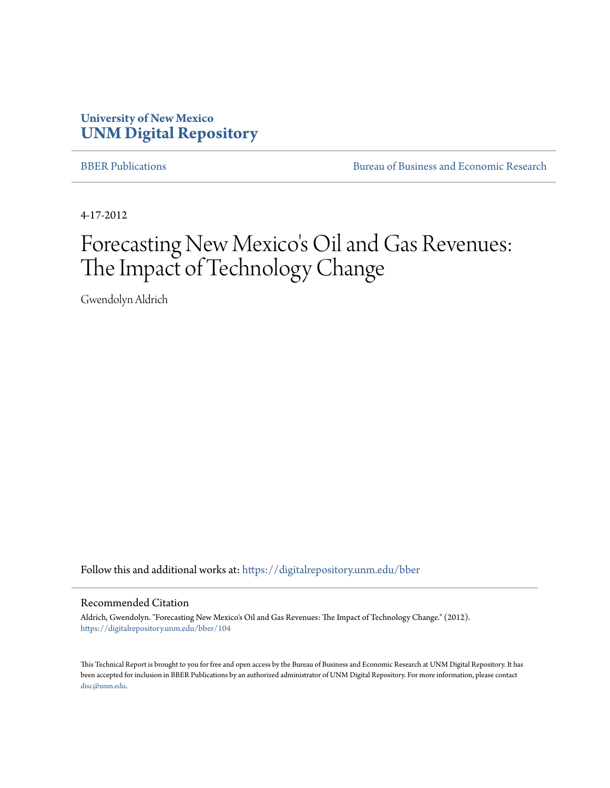# **University of New Mexico [UNM Digital Repository](https://digitalrepository.unm.edu?utm_source=digitalrepository.unm.edu%2Fbber%2F104&utm_medium=PDF&utm_campaign=PDFCoverPages)**

[BBER Publications](https://digitalrepository.unm.edu/bber?utm_source=digitalrepository.unm.edu%2Fbber%2F104&utm_medium=PDF&utm_campaign=PDFCoverPages) **BUREAU SERVICES** [Bureau of Business and Economic Research](https://digitalrepository.unm.edu/business_economic_research?utm_source=digitalrepository.unm.edu%2Fbber%2F104&utm_medium=PDF&utm_campaign=PDFCoverPages)

4-17-2012

# Forecasting New Mexico's Oil and Gas Revenues: The Impact of Technology Change

Gwendolyn Aldrich

Follow this and additional works at: [https://digitalrepository.unm.edu/bber](https://digitalrepository.unm.edu/bber?utm_source=digitalrepository.unm.edu%2Fbber%2F104&utm_medium=PDF&utm_campaign=PDFCoverPages)

#### Recommended Citation

Aldrich, Gwendolyn. "Forecasting New Mexico's Oil and Gas Revenues: The Impact of Technology Change." (2012). [https://digitalrepository.unm.edu/bber/104](https://digitalrepository.unm.edu/bber/104?utm_source=digitalrepository.unm.edu%2Fbber%2F104&utm_medium=PDF&utm_campaign=PDFCoverPages)

This Technical Report is brought to you for free and open access by the Bureau of Business and Economic Research at UNM Digital Repository. It has been accepted for inclusion in BBER Publications by an authorized administrator of UNM Digital Repository. For more information, please contact [disc@unm.edu](mailto:disc@unm.edu).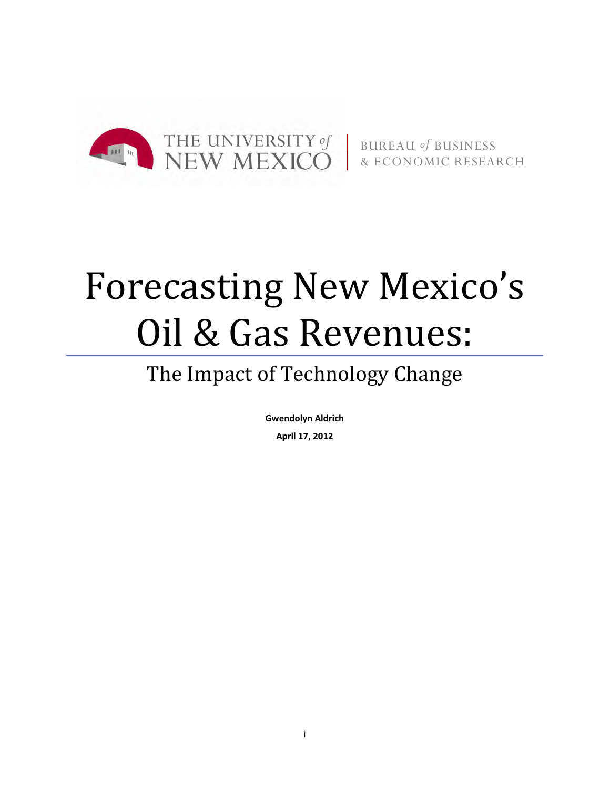

BUREAU *of* BUSINESS & ECONOMIC RESEARCH

# Forecasting New Mexico's Oil & Gas Revenues:

# The Impact of Technology Change

**Gwendolyn Aldrich**

**April 17, 2012**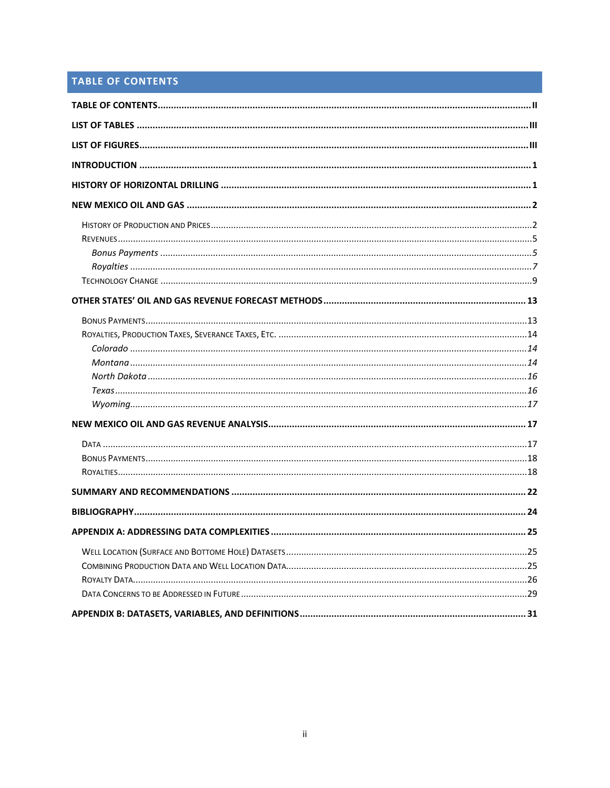# <span id="page-2-0"></span>TABLE OF CONTENTS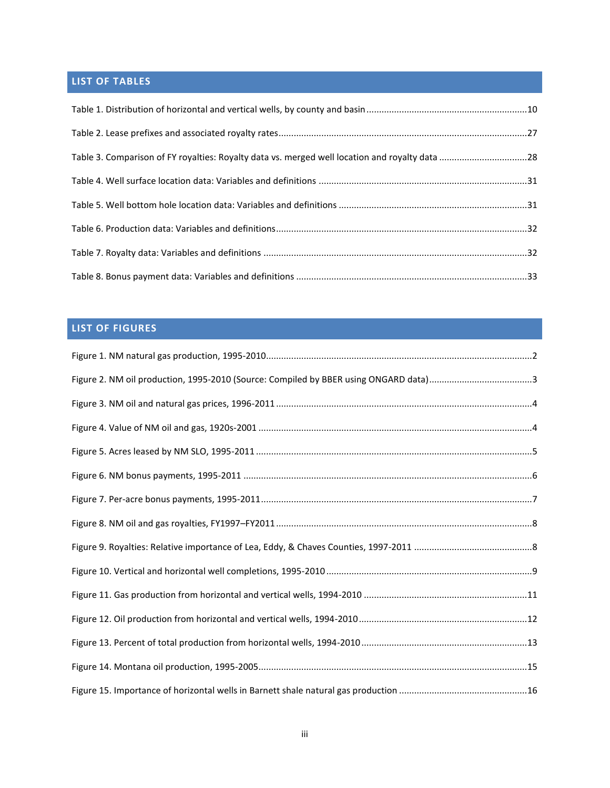# <span id="page-3-0"></span>**LIST OF TABLES**

| Table 3. Comparison of FY royalties: Royalty data vs. merged well location and royalty data 28 |  |
|------------------------------------------------------------------------------------------------|--|
|                                                                                                |  |
|                                                                                                |  |
|                                                                                                |  |
|                                                                                                |  |
|                                                                                                |  |

# <span id="page-3-1"></span>**LIST OF FIGURES**

| Figure 2. NM oil production, 1995-2010 (Source: Compiled by BBER using ONGARD data)3 |  |
|--------------------------------------------------------------------------------------|--|
|                                                                                      |  |
|                                                                                      |  |
|                                                                                      |  |
|                                                                                      |  |
|                                                                                      |  |
|                                                                                      |  |
|                                                                                      |  |
|                                                                                      |  |
|                                                                                      |  |
|                                                                                      |  |
|                                                                                      |  |
|                                                                                      |  |
|                                                                                      |  |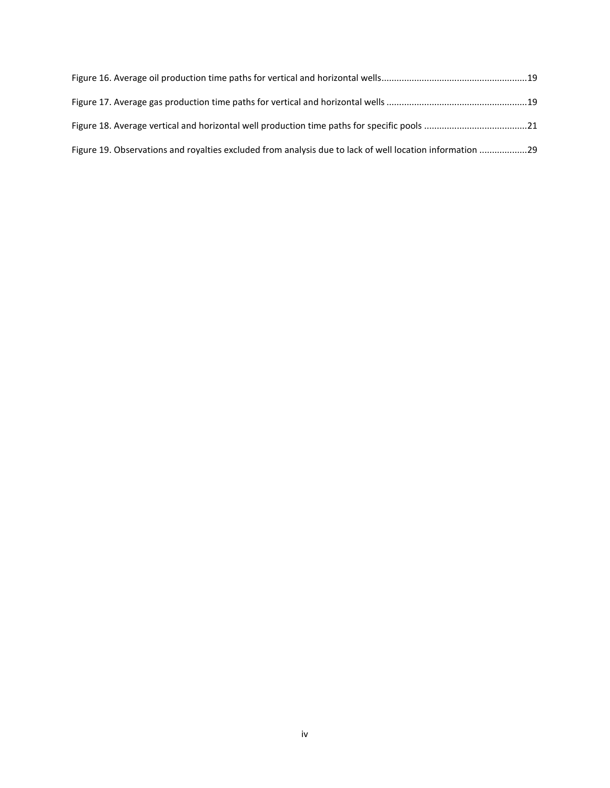| Figure 19. Observations and royalties excluded from analysis due to lack of well location information 29 |  |
|----------------------------------------------------------------------------------------------------------|--|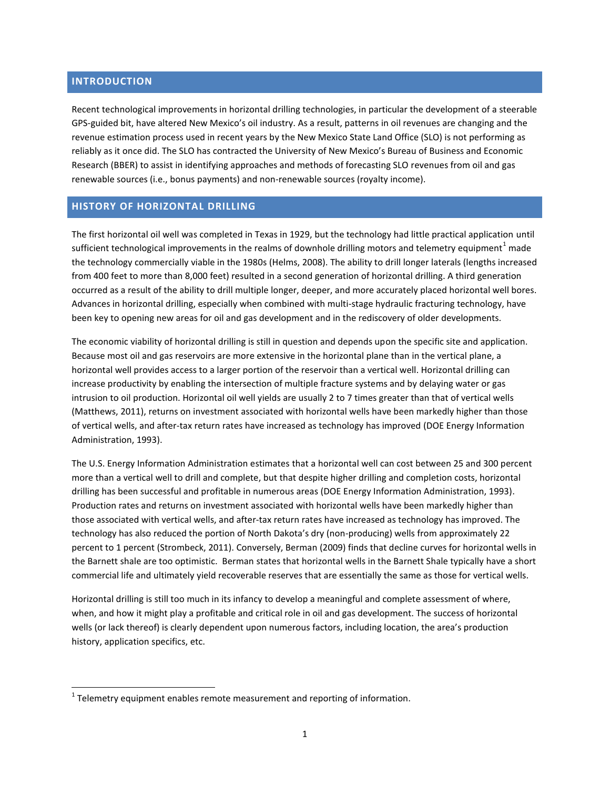# <span id="page-5-0"></span>**INTRODUCTION**

 $\overline{a}$ 

Recent technological improvements in horizontal drilling technologies, in particular the development of a steerable GPS-guided bit, have altered New Mexico's oil industry. As a result, patterns in oil revenues are changing and the revenue estimation process used in recent years by the New Mexico State Land Office (SLO) is not performing as reliably as it once did. The SLO has contracted the University of New Mexico's Bureau of Business and Economic Research (BBER) to assist in identifying approaches and methods of forecasting SLO revenues from oil and gas renewable sources (i.e., bonus payments) and non-renewable sources (royalty income).

#### <span id="page-5-1"></span>**HISTORY OF HORIZONTAL DRILLING**

The first horizontal oil well was completed in Texas in 1929, but the technology had little practical application until sufficient technological improvements in the realms of downhole drilling motors and telemetry equipment $^1$  made the technology commercially viable in the 1980s (Helms, 2008). The ability to drill longer laterals (lengths increased from 400 feet to more than 8,000 feet) resulted in a second generation of horizontal drilling. A third generation occurred as a result of the ability to drill multiple longer, deeper, and more accurately placed horizontal well bores. Advances in horizontal drilling, especially when combined with multi-stage hydraulic fracturing technology, have been key to opening new areas for oil and gas development and in the rediscovery of older developments.

The economic viability of horizontal drilling is still in question and depends upon the specific site and application. Because most oil and gas reservoirs are more extensive in the horizontal plane than in the vertical plane, a horizontal well provides access to a larger portion of the reservoir than a vertical well. Horizontal drilling can increase productivity by enabling the intersection of multiple fracture systems and by delaying water or gas intrusion to oil production. Horizontal oil well yields are usually 2 to 7 times greater than that of vertical wells (Matthews, 2011), returns on investment associated with horizontal wells have been markedly higher than those of vertical wells, and after-tax return rates have increased as technology has improved (DOE Energy Information Administration, 1993).

The U.S. Energy Information Administration estimates that a horizontal well can cost between 25 and 300 percent more than a vertical well to drill and complete, but that despite higher drilling and completion costs, horizontal drilling has been successful and profitable in numerous areas (DOE Energy Information Administration, 1993). Production rates and returns on investment associated with horizontal wells have been markedly higher than those associated with vertical wells, and after-tax return rates have increased as technology has improved. The technology has also reduced the portion of North Dakota's dry (non-producing) wells from approximately 22 percent to 1 percent (Strombeck, 2011). Conversely, Berman (2009) finds that decline curves for horizontal wells in the Barnett shale are too optimistic. Berman states that horizontal wells in the Barnett Shale typically have a short commercial life and ultimately yield recoverable reserves that are essentially the same as those for vertical wells.

Horizontal drilling is still too much in its infancy to develop a meaningful and complete assessment of where, when, and how it might play a profitable and critical role in oil and gas development. The success of horizontal wells (or lack thereof) is clearly dependent upon numerous factors, including location, the area's production history, application specifics, etc.

 $1$  Telemetry equipment enables remote measurement and reporting of information.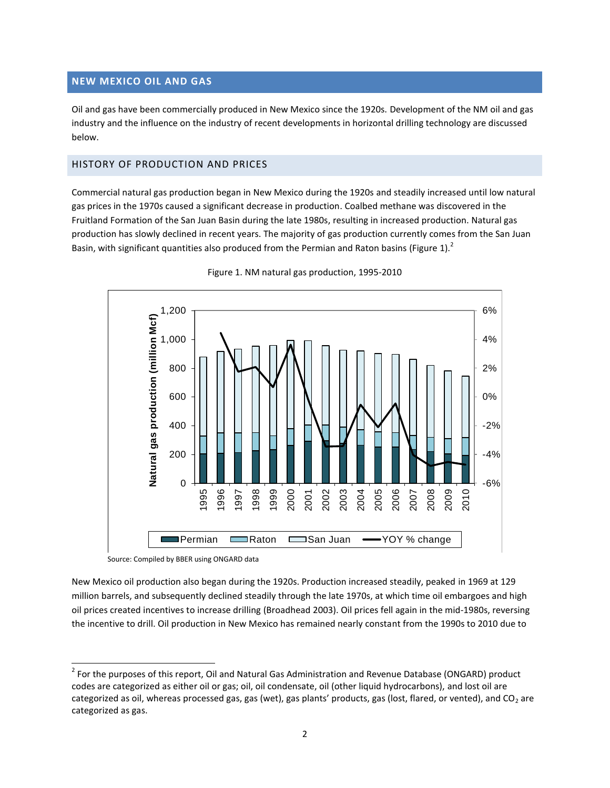# <span id="page-6-0"></span>**NEW MEXICO OIL AND GAS**

Oil and gas have been commercially produced in New Mexico since the 1920s. Development of the NM oil and gas industry and the influence on the industry of recent developments in horizontal drilling technology are discussed below.

# <span id="page-6-1"></span>HISTORY OF PRODUCTION AND PRICES

Commercial natural gas production began in New Mexico during the 1920s and steadily increased until low natural gas prices in the 1970s caused a significant decrease in production. Coalbed methane was discovered in the Fruitland Formation of the San Juan Basin during the late 1980s, resulting in increased production. Natural gas production has slowly declined in recent years. The majority of gas production currently comes from the San Juan Basin, with significant quantities also produced from the Permian and Raton basins [\(Figure 1\)](#page-6-2).<sup>2</sup>

<span id="page-6-2"></span>



Source: Compiled by BBER using ONGARD data

 $\overline{a}$ 

New Mexico oil production also began during the 1920s. Production increased steadily, peaked in 1969 at 129 million barrels, and subsequently declined steadily through the late 1970s, at which time oil embargoes and high oil prices created incentives to increase drilling (Broadhead 2003). Oil prices fell again in the mid-1980s, reversing the incentive to drill. Oil production in New Mexico has remained nearly constant from the 1990s to 2010 due to

 $^2$  For the purposes of this report, Oil and Natural Gas Administration and Revenue Database (ONGARD) product codes are categorized as either oil or gas; oil, oil condensate, oil (other liquid hydrocarbons), and lost oil are categorized as oil, whereas processed gas, gas (wet), gas plants' products, gas (lost, flared, or vented), and  $CO<sub>2</sub>$  are categorized as gas.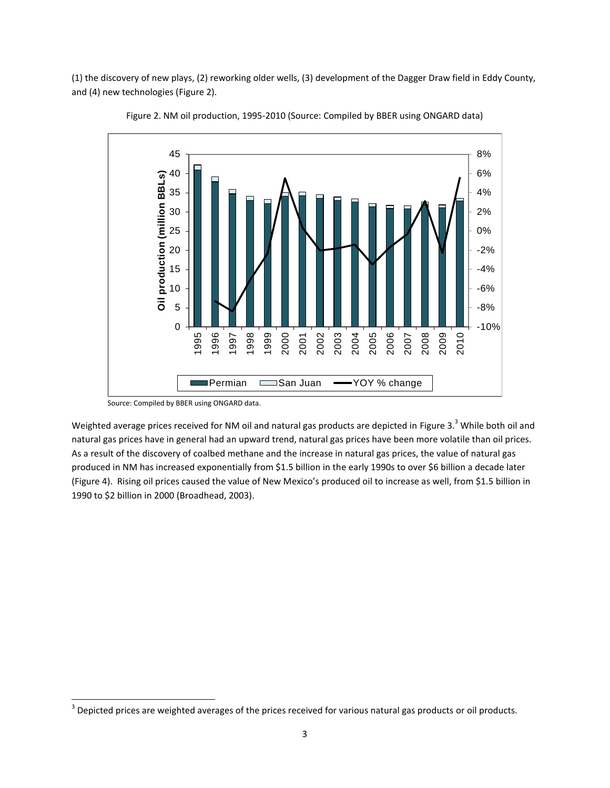<span id="page-7-0"></span>(1) the discovery of new plays, (2) reworking older wells, (3) development of the Dagger Draw field in Eddy County, and (4) new technologies [\(Figure 2\)](#page-7-0).



Figure 2. NM oil production, 1995-2010 (Source: Compiled by BBER using ONGARD data)

 $\overline{a}$ 

Weighted average prices received for NM oil and natural gas products are depicted in [Figure 3.](#page-8-0)<sup>3</sup> While both oil and natural gas prices have in general had an upward trend, natural gas prices have been more volatile than oil prices. As a result of the discovery of coalbed methane and the increase in natural gas prices, the value of natural gas produced in NM has increased exponentially from \$1.5 billion in the early 1990s to over \$6 billion a decade later [\(Figure 4\)](#page-8-1). Rising oil prices caused the value of New Mexico's produced oil to increase as well, from \$1.5 billion in 1990 to \$2 billion in 2000 (Broadhead, 2003).

Source: Compiled by BBER using ONGARD data.

 $3$  Depicted prices are weighted averages of the prices received for various natural gas products or oil products.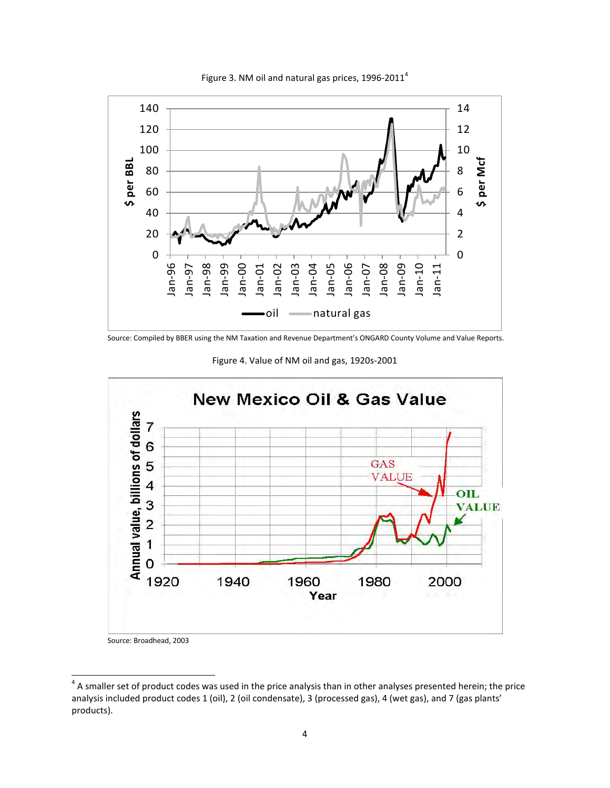<span id="page-8-0"></span>

Figure 3. NM oil and natural gas prices,  $1996-2011^4$ 

<span id="page-8-1"></span>Source: Compiled by BBER using the NM Taxation and Revenue Department's ONGARD County Volume and Value Reports.

Figure 4. Value of NM oil and gas, 1920s-2001



Source: Broadhead, 2003

<sup>4&</sup>lt;br>A smaller set of product codes was used in the price analysis than in other analyses presented herein; the price analysis included product codes 1 (oil), 2 (oil condensate), 3 (processed gas), 4 (wet gas), and 7 (gas plants' products).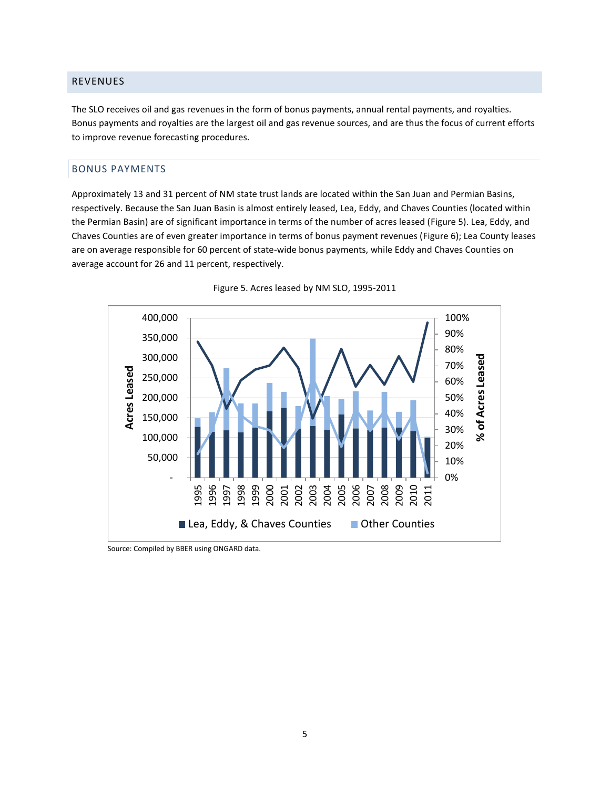# <span id="page-9-0"></span>REVENUES

The SLO receives oil and gas revenues in the form of bonus payments, annual rental payments, and royalties. Bonus payments and royalties are the largest oil and gas revenue sources, and are thus the focus of current efforts to improve revenue forecasting procedures.

# <span id="page-9-1"></span>BONUS PAYMENTS

Approximately 13 and 31 percent of NM state trust lands are located within the San Juan and Permian Basins, respectively. Because the San Juan Basin is almost entirely leased, Lea, Eddy, and Chaves Counties (located within the Permian Basin) are of significant importance in terms of the number of acres leased [\(Figure 5\)](#page-9-2). Lea, Eddy, and Chaves Counties are of even greater importance in terms of bonus payment revenues [\(Figure 6\)](#page-10-0); Lea County leases are on average responsible for 60 percent of state-wide bonus payments, while Eddy and Chaves Counties on average account for 26 and 11 percent, respectively.

<span id="page-9-2"></span>



Source: Compiled by BBER using ONGARD data.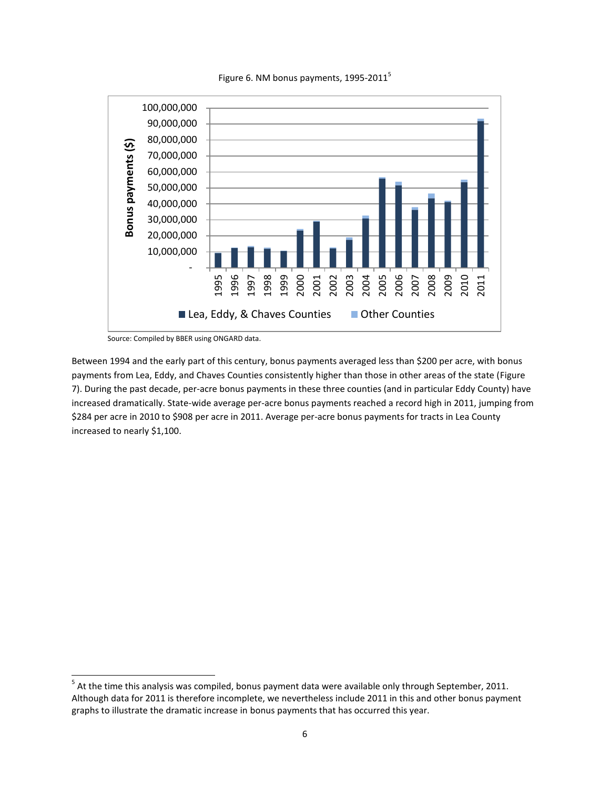

<span id="page-10-0"></span>

Source: Compiled by BBER using ONGARD data.

 $\overline{a}$ 

Between 1994 and the early part of this century, bonus payments averaged less than \$200 per acre, with bonus payments from Lea, Eddy, and Chaves Counties consistently higher than those in other areas of the state [\(Figure](#page-11-1)  [7\)](#page-11-1). During the past decade, per-acre bonus payments in these three counties (and in particular Eddy County) have increased dramatically. State-wide average per-acre bonus payments reached a record high in 2011, jumping from \$284 per acre in 2010 to \$908 per acre in 2011. Average per-acre bonus payments for tracts in Lea County increased to nearly \$1,100.

 $<sup>5</sup>$  At the time this analysis was compiled, bonus payment data were available only through September, 2011.</sup> Although data for 2011 is therefore incomplete, we nevertheless include 2011 in this and other bonus payment graphs to illustrate the dramatic increase in bonus payments that has occurred this year.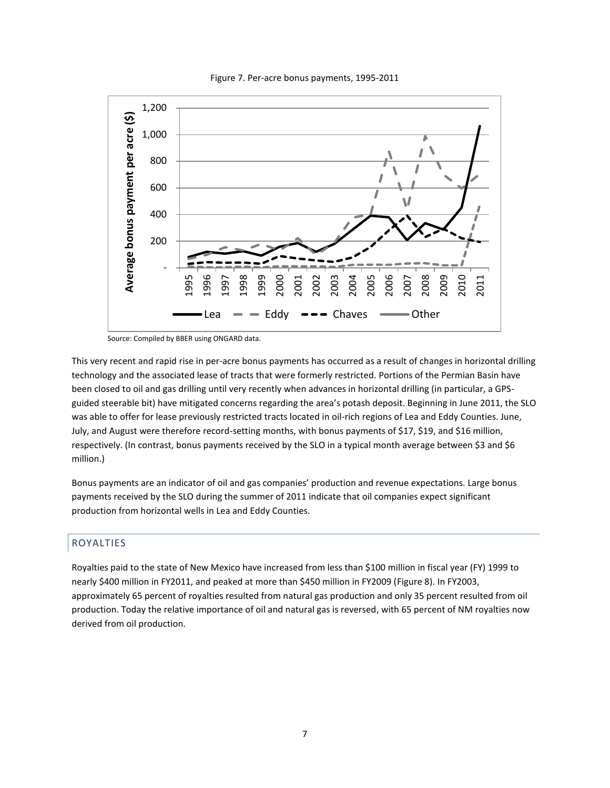<span id="page-11-1"></span>

Figure 7. Per-acre bonus payments, 1995-2011

Source: Compiled by BBER using ONGARD data.

This very recent and rapid rise in per-acre bonus payments has occurred as a result of changes in horizontal drilling technology and the associated lease of tracts that were formerly restricted. Portions of the Permian Basin have been closed to oil and gas drilling until very recently when advances in horizontal drilling (in particular, a GPSguided steerable bit) have mitigated concerns regarding the area's potash deposit. Beginning in June 2011, the SLO was able to offer for lease previously restricted tracts located in oil-rich regions of Lea and Eddy Counties. June, July, and August were therefore record-setting months, with bonus payments of \$17, \$19, and \$16 million, respectively. (In contrast, bonus payments received by the SLO in a typical month average between \$3 and \$6 million.)

Bonus payments are an indicator of oil and gas companies' production and revenue expectations. Large bonus payments received by the SLO during the summer of 2011 indicate that oil companies expect significant production from horizontal wells in Lea and Eddy Counties.

# <span id="page-11-0"></span>ROYALTIES

Royalties paid to the state of New Mexico have increased from less than \$100 million in fiscal year (FY) 1999 to nearly \$400 million in FY2011, and peaked at more than \$450 million in FY2009 [\(Figure 8\)](#page-12-0). In FY2003, approximately 65 percent of royalties resulted from natural gas production and only 35 percent resulted from oil production. Today the relative importance of oil and natural gas is reversed, with 65 percent of NM royalties now derived from oil production.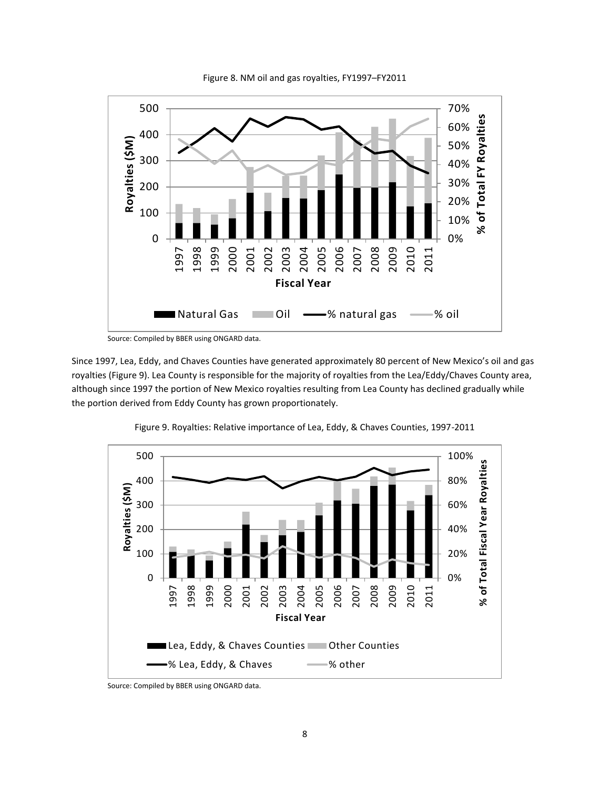<span id="page-12-0"></span>

Figure 8. NM oil and gas royalties, FY1997–FY2011

Since 1997, Lea, Eddy, and Chaves Counties have generated approximately 80 percent of New Mexico's oil and gas royalties [\(Figure 9\)](#page-12-1). Lea County is responsible for the majority of royalties from the Lea/Eddy/Chaves County area, although since 1997 the portion of New Mexico royalties resulting from Lea County has declined gradually while the portion derived from Eddy County has grown proportionately.

<span id="page-12-1"></span>

Figure 9. Royalties: Relative importance of Lea, Eddy, & Chaves Counties, 1997-2011

Source: Compiled by BBER using ONGARD data.

Source: Compiled by BBER using ONGARD data.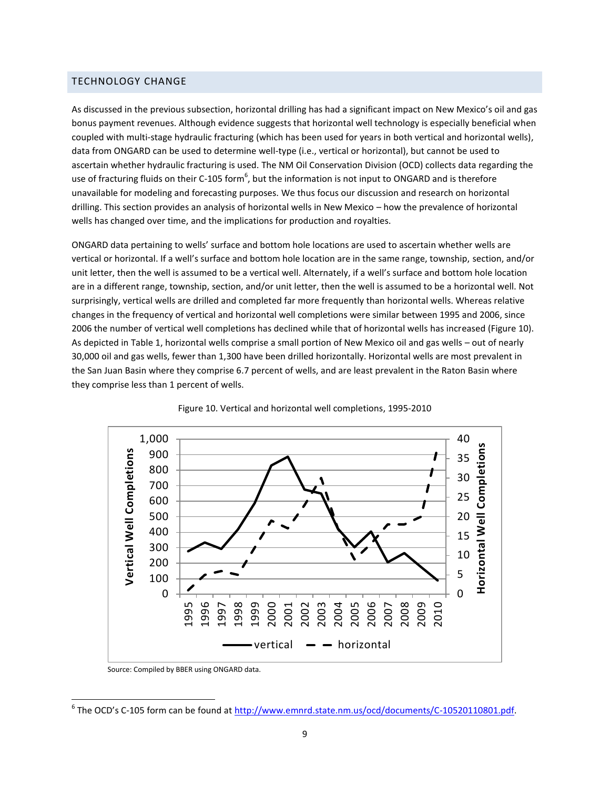# <span id="page-13-0"></span>TECHNOLOGY CHANGE

As discussed in the previous subsection, horizontal drilling has had a significant impact on New Mexico's oil and gas bonus payment revenues. Although evidence suggests that horizontal well technology is especially beneficial when coupled with multi-stage hydraulic fracturing (which has been used for years in both vertical and horizontal wells), data from ONGARD can be used to determine well-type (i.e., vertical or horizontal), but cannot be used to ascertain whether hydraulic fracturing is used. The NM Oil Conservation Division (OCD) collects data regarding the use of fracturing fluids on their C-105 form<sup>6</sup>, but the information is not input to ONGARD and is therefore unavailable for modeling and forecasting purposes. We thus focus our discussion and research on horizontal drilling. This section provides an analysis of horizontal wells in New Mexico – how the prevalence of horizontal wells has changed over time, and the implications for production and royalties.

ONGARD data pertaining to wells' surface and bottom hole locations are used to ascertain whether wells are vertical or horizontal. If a well's surface and bottom hole location are in the same range, township, section, and/or unit letter, then the well is assumed to be a vertical well. Alternately, if a well's surface and bottom hole location are in a different range, township, section, and/or unit letter, then the well is assumed to be a horizontal well. Not surprisingly, vertical wells are drilled and completed far more frequently than horizontal wells. Whereas relative changes in the frequency of vertical and horizontal well completions were similar between 1995 and 2006, since 2006 the number of vertical well completions has declined while that of horizontal wells has increased [\(Figure 10\)](#page-13-1). As depicted i[n Table 1,](#page-14-0) horizontal wells comprise a small portion of New Mexico oil and gas wells – out of nearly 30,000 oil and gas wells, fewer than 1,300 have been drilled horizontally. Horizontal wells are most prevalent in the San Juan Basin where they comprise 6.7 percent of wells, and are least prevalent in the Raton Basin where they comprise less than 1 percent of wells.

<span id="page-13-1"></span>



 $\overline{a}$ 

Source: Compiled by BBER using ONGARD data.

<sup>&</sup>lt;sup>6</sup> The OCD's C-105 form can be found at http://www.emnrd.state.nm.us/ocd/documents/C-10520110801.pdf.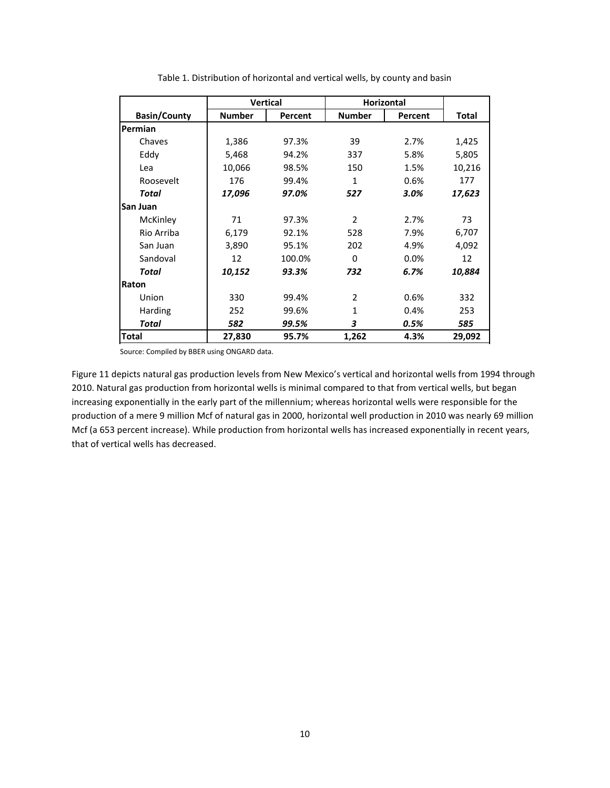<span id="page-14-0"></span>

|                     | <b>Vertical</b> |         | <b>Horizontal</b> |         |              |
|---------------------|-----------------|---------|-------------------|---------|--------------|
| <b>Basin/County</b> | <b>Number</b>   | Percent | <b>Number</b>     | Percent | <b>Total</b> |
| Permian             |                 |         |                   |         |              |
| Chaves              | 1,386           | 97.3%   | 39                | 2.7%    | 1,425        |
| Eddy                | 5,468           | 94.2%   | 337               | 5.8%    | 5,805        |
| Lea                 | 10,066          | 98.5%   | 150               | 1.5%    | 10,216       |
| Roosevelt           | 176             | 99.4%   | 1                 | 0.6%    | 177          |
| Total               | 17,096          | 97.0%   | 527               | 3.0%    | 17,623       |
| San Juan            |                 |         |                   |         |              |
| McKinley            | 71              | 97.3%   | $\overline{2}$    | 2.7%    | 73           |
| Rio Arriba          | 6,179           | 92.1%   | 528               | 7.9%    | 6,707        |
| San Juan            | 3,890           | 95.1%   | 202               | 4.9%    | 4,092        |
| Sandoval            | 12              | 100.0%  | $\Omega$          | 0.0%    | 12           |
| Total               | 10,152          | 93.3%   | 732               | 6.7%    | 10,884       |
| Raton               |                 |         |                   |         |              |
| Union               | 330             | 99.4%   | 2                 | 0.6%    | 332          |
| Harding             | 252             | 99.6%   | 1                 | 0.4%    | 253          |
| Total               | 582             | 99.5%   | 3                 | 0.5%    | 585          |
| <b>Total</b>        | 27,830          | 95.7%   | 1,262             | 4.3%    | 29,092       |

Source: Compiled by BBER using ONGARD data.

[Figure 11](#page-15-0) depicts natural gas production levels from New Mexico's vertical and horizontal wells from 1994 through 2010. Natural gas production from horizontal wells is minimal compared to that from vertical wells, but began increasing exponentially in the early part of the millennium; whereas horizontal wells were responsible for the production of a mere 9 million Mcf of natural gas in 2000, horizontal well production in 2010 was nearly 69 million Mcf (a 653 percent increase). While production from horizontal wells has increased exponentially in recent years, that of vertical wells has decreased.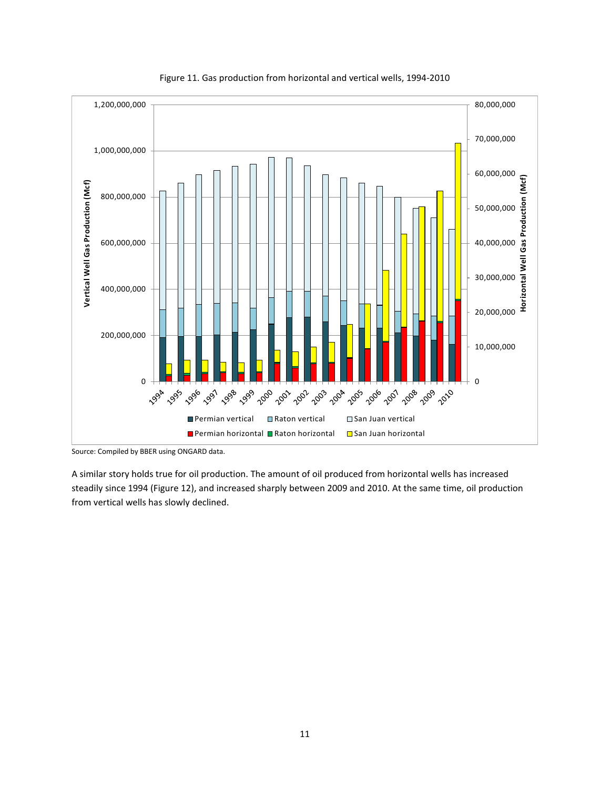<span id="page-15-0"></span>

Figure 11. Gas production from horizontal and vertical wells, 1994-2010

A similar story holds true for oil production. The amount of oil produced from horizontal wells has increased steadily since 1994 [\(Figure 12\)](#page-16-0), and increased sharply between 2009 and 2010. At the same time, oil production from vertical wells has slowly declined.

Source: Compiled by BBER using ONGARD data.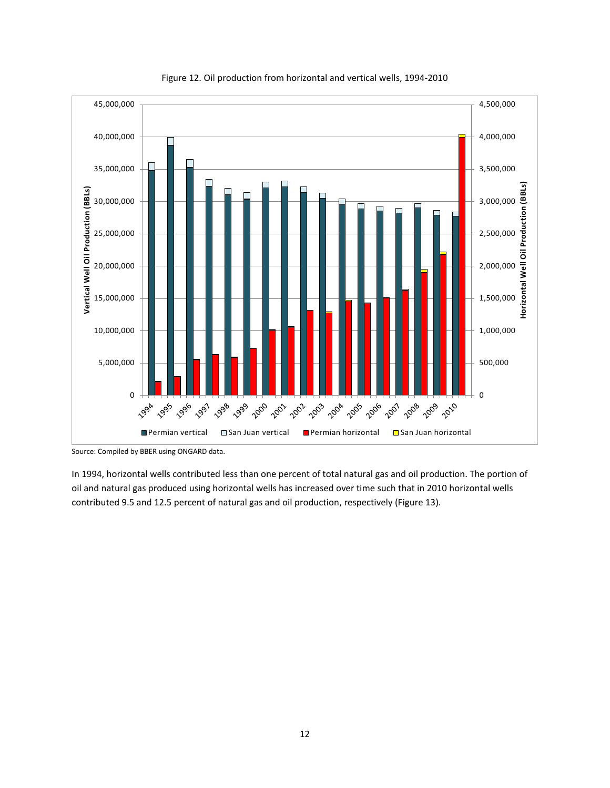<span id="page-16-0"></span>

Figure 12. Oil production from horizontal and vertical wells, 1994-2010

Source: Compiled by BBER using ONGARD data.

In 1994, horizontal wells contributed less than one percent of total natural gas and oil production. The portion of oil and natural gas produced using horizontal wells has increased over time such that in 2010 horizontal wells contributed 9.5 and 12.5 percent of natural gas and oil production, respectively [\(Figure 13\)](#page-17-2).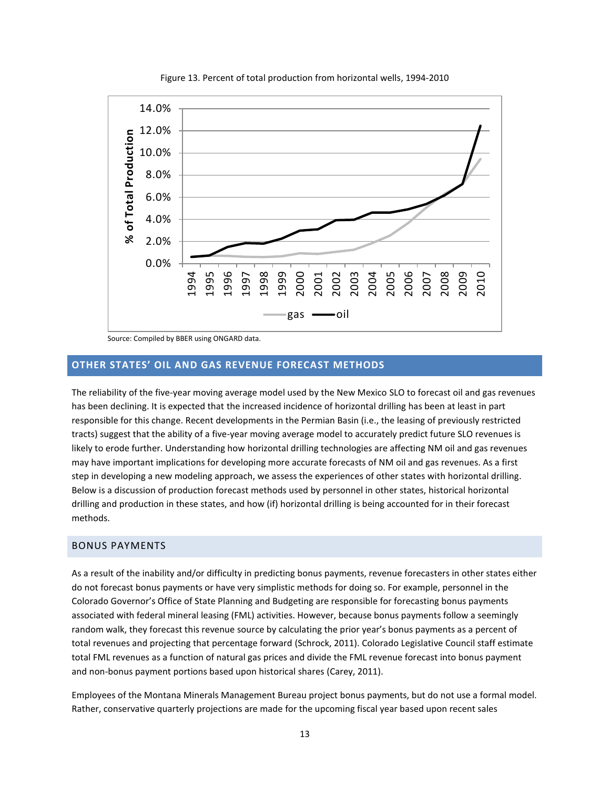<span id="page-17-2"></span>

Figure 13. Percent of total production from horizontal wells, 1994-2010

Source: Compiled by BBER using ONGARD data.

# <span id="page-17-0"></span>**OTHER STATES' OIL AND GAS REVENUE FORECAST METHODS**

The reliability of the five-year moving average model used by the New Mexico SLO to forecast oil and gas revenues has been declining. It is expected that the increased incidence of horizontal drilling has been at least in part responsible for this change. Recent developments in the Permian Basin (i.e., the leasing of previously restricted tracts) suggest that the ability of a five-year moving average model to accurately predict future SLO revenues is likely to erode further. Understanding how horizontal drilling technologies are affecting NM oil and gas revenues may have important implications for developing more accurate forecasts of NM oil and gas revenues. As a first step in developing a new modeling approach, we assess the experiences of other states with horizontal drilling. Below is a discussion of production forecast methods used by personnel in other states, historical horizontal drilling and production in these states, and how (if) horizontal drilling is being accounted for in their forecast methods.

#### <span id="page-17-1"></span>BONUS PAYMENTS

As a result of the inability and/or difficulty in predicting bonus payments, revenue forecasters in other states either do not forecast bonus payments or have very simplistic methods for doing so. For example, personnel in the Colorado Governor's Office of State Planning and Budgeting are responsible for forecasting bonus payments associated with federal mineral leasing (FML) activities. However, because bonus payments follow a seemingly random walk, they forecast this revenue source by calculating the prior year's bonus payments as a percent of total revenues and projecting that percentage forward (Schrock, 2011). Colorado Legislative Council staff estimate total FML revenues as a function of natural gas prices and divide the FML revenue forecast into bonus payment and non-bonus payment portions based upon historical shares (Carey, 2011).

Employees of the Montana Minerals Management Bureau project bonus payments, but do not use a formal model. Rather, conservative quarterly projections are made for the upcoming fiscal year based upon recent sales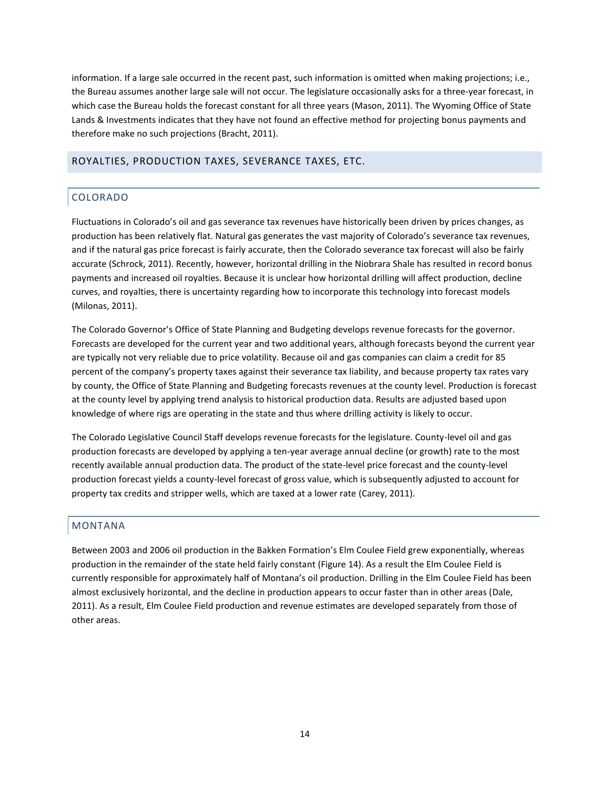information. If a large sale occurred in the recent past, such information is omitted when making projections; i.e., the Bureau assumes another large sale will not occur. The legislature occasionally asks for a three-year forecast, in which case the Bureau holds the forecast constant for all three years (Mason, 2011). The Wyoming Office of State Lands & Investments indicates that they have not found an effective method for projecting bonus payments and therefore make no such projections (Bracht, 2011).

# <span id="page-18-1"></span><span id="page-18-0"></span>ROYALTIES, PRODUCTION TAXES, SEVERANCE TAXES, ETC.

# COLORADO

Fluctuations in Colorado's oil and gas severance tax revenues have historically been driven by prices changes, as production has been relatively flat. Natural gas generates the vast majority of Colorado's severance tax revenues, and if the natural gas price forecast is fairly accurate, then the Colorado severance tax forecast will also be fairly accurate (Schrock, 2011). Recently, however, horizontal drilling in the Niobrara Shale has resulted in record bonus payments and increased oil royalties. Because it is unclear how horizontal drilling will affect production, decline curves, and royalties, there is uncertainty regarding how to incorporate this technology into forecast models (Milonas, 2011).

The Colorado Governor's Office of State Planning and Budgeting develops revenue forecasts for the governor. Forecasts are developed for the current year and two additional years, although forecasts beyond the current year are typically not very reliable due to price volatility. Because oil and gas companies can claim a credit for 85 percent of the company's property taxes against their severance tax liability, and because property tax rates vary by county, the Office of State Planning and Budgeting forecasts revenues at the county level. Production is forecast at the county level by applying trend analysis to historical production data. Results are adjusted based upon knowledge of where rigs are operating in the state and thus where drilling activity is likely to occur.

The Colorado Legislative Council Staff develops revenue forecasts for the legislature. County-level oil and gas production forecasts are developed by applying a ten-year average annual decline (or growth) rate to the most recently available annual production data. The product of the state-level price forecast and the county-level production forecast yields a county-level forecast of gross value, which is subsequently adjusted to account for property tax credits and stripper wells, which are taxed at a lower rate (Carey, 2011).

# <span id="page-18-2"></span>MONTANA

Between 2003 and 2006 oil production in the Bakken Formation's Elm Coulee Field grew exponentially, whereas production in the remainder of the state held fairly constant [\(Figure 14\)](#page-19-0). As a result the Elm Coulee Field is currently responsible for approximately half of Montana's oil production. Drilling in the Elm Coulee Field has been almost exclusively horizontal, and the decline in production appears to occur faster than in other areas (Dale, 2011). As a result, Elm Coulee Field production and revenue estimates are developed separately from those of other areas.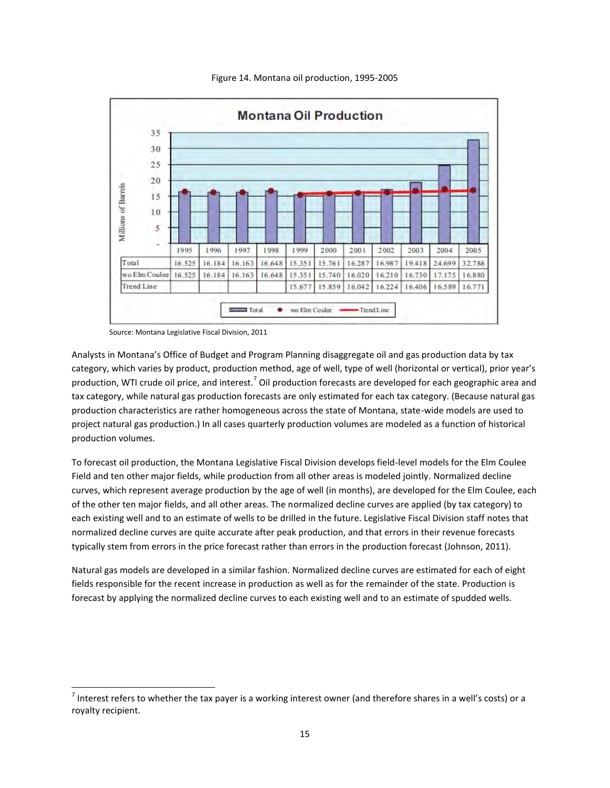<span id="page-19-0"></span>

Figure 14. Montana oil production, 1995-2005

Source: Montana Legislative Fiscal Division, 2011

 $\overline{a}$ 

Analysts in Montana's Office of Budget and Program Planning disaggregate oil and gas production data by tax category, which varies by product, production method, age of well, type of well (horizontal or vertical), prior year's production, WTI crude oil price, and interest.<sup>7</sup> Oil production forecasts are developed for each geographic area and tax category, while natural gas production forecasts are only estimated for each tax category. (Because natural gas production characteristics are rather homogeneous across the state of Montana, state-wide models are used to project natural gas production.) In all cases quarterly production volumes are modeled as a function of historical production volumes.

To forecast oil production, the Montana Legislative Fiscal Division develops field-level models for the Elm Coulee Field and ten other major fields, while production from all other areas is modeled jointly. Normalized decline curves, which represent average production by the age of well (in months), are developed for the Elm Coulee, each of the other ten major fields, and all other areas. The normalized decline curves are applied (by tax category) to each existing well and to an estimate of wells to be drilled in the future. Legislative Fiscal Division staff notes that normalized decline curves are quite accurate after peak production, and that errors in their revenue forecasts typically stem from errors in the price forecast rather than errors in the production forecast (Johnson, 2011).

Natural gas models are developed in a similar fashion. Normalized decline curves are estimated for each of eight fields responsible for the recent increase in production as well as for the remainder of the state. Production is forecast by applying the normalized decline curves to each existing well and to an estimate of spudded wells.

 $^7$  Interest refers to whether the tax payer is a working interest owner (and therefore shares in a well's costs) or a royalty recipient.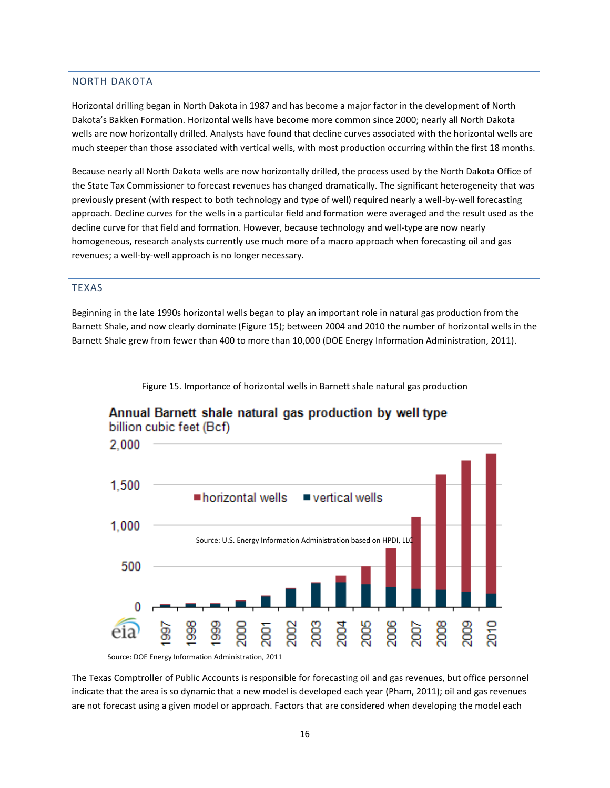# <span id="page-20-0"></span>NORTH DAKOTA

Horizontal drilling began in North Dakota in 1987 and has become a major factor in the development of North Dakota's Bakken Formation. Horizontal wells have become more common since 2000; nearly all North Dakota wells are now horizontally drilled. Analysts have found that decline curves associated with the horizontal wells are much steeper than those associated with vertical wells, with most production occurring within the first 18 months.

Because nearly all North Dakota wells are now horizontally drilled, the process used by the North Dakota Office of the State Tax Commissioner to forecast revenues has changed dramatically. The significant heterogeneity that was previously present (with respect to both technology and type of well) required nearly a well-by-well forecasting approach. Decline curves for the wells in a particular field and formation were averaged and the result used as the decline curve for that field and formation. However, because technology and well-type are now nearly homogeneous, research analysts currently use much more of a macro approach when forecasting oil and gas revenues; a well-by-well approach is no longer necessary.

# <span id="page-20-1"></span>TEXAS

Beginning in the late 1990s horizontal wells began to play an important role in natural gas production from the Barnett Shale, and now clearly dominate [\(Figure 15\)](#page-20-2); between 2004 and 2010 the number of horizontal wells in the Barnett Shale grew from fewer than 400 to more than 10,000 (DOE Energy Information Administration, 2011).

Figure 15. Importance of horizontal wells in Barnett shale natural gas production



# <span id="page-20-2"></span>Annual Barnett shale natural gas production by well type

billion cubic feet (Bcf)

The Texas Comptroller of Public Accounts is responsible for forecasting oil and gas revenues, but office personnel indicate that the area is so dynamic that a new model is developed each year (Pham, 2011); oil and gas revenues are not forecast using a given model or approach. Factors that are considered when developing the model each

Source: DOE Energy Information Administration, 2011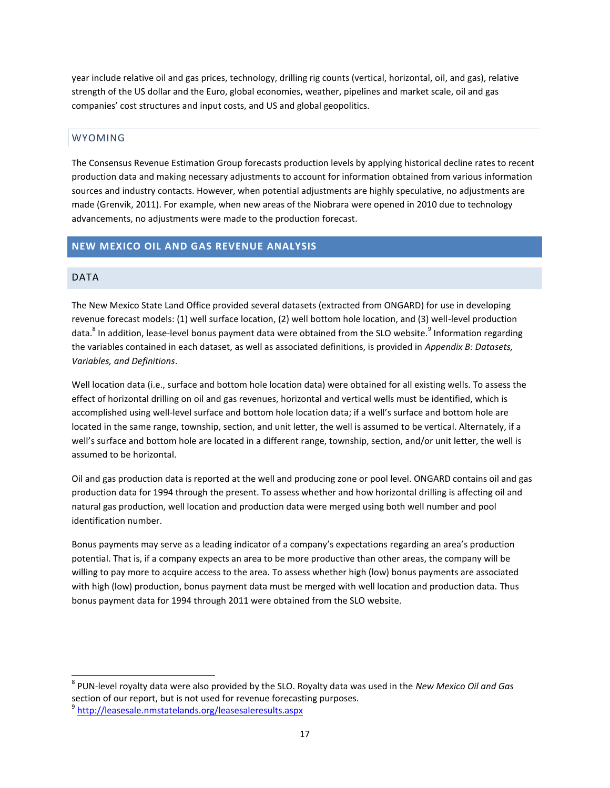year include relative oil and gas prices, technology, drilling rig counts (vertical, horizontal, oil, and gas), relative strength of the US dollar and the Euro, global economies, weather, pipelines and market scale, oil and gas companies' cost structures and input costs, and US and global geopolitics.

# <span id="page-21-0"></span>WYOMING

The Consensus Revenue Estimation Group forecasts production levels by applying historical decline rates to recent production data and making necessary adjustments to account for information obtained from various information sources and industry contacts. However, when potential adjustments are highly speculative, no adjustments are made (Grenvik, 2011). For example, when new areas of the Niobrara were opened in 2010 due to technology advancements, no adjustments were made to the production forecast.

# <span id="page-21-1"></span>**NEW MEXICO OIL AND GAS REVENUE ANALYSIS**

# <span id="page-21-2"></span>DATA

 $\overline{a}$ 

The New Mexico State Land Office provided several datasets (extracted from ONGARD) for use in developing revenue forecast models: (1) well surface location, (2) well bottom hole location, and (3) well-level production data.<sup>8</sup> In addition, lease-level bonus payment data were obtained from the SLO website.<sup>9</sup> Information regarding the variables contained in each dataset, as well as associated definitions, is provided in *[Appendix B: Datasets,](#page-35-0)  [Variables, and Definitions](#page-35-0)*.

Well location data (i.e., surface and bottom hole location data) were obtained for all existing wells. To assess the effect of horizontal drilling on oil and gas revenues, horizontal and vertical wells must be identified, which is accomplished using well-level surface and bottom hole location data; if a well's surface and bottom hole are located in the same range, township, section, and unit letter, the well is assumed to be vertical. Alternately, if a well's surface and bottom hole are located in a different range, township, section, and/or unit letter, the well is assumed to be horizontal.

Oil and gas production data is reported at the well and producing zone or pool level. ONGARD contains oil and gas production data for 1994 through the present. To assess whether and how horizontal drilling is affecting oil and natural gas production, well location and production data were merged using both well number and pool identification number.

Bonus payments may serve as a leading indicator of a company's expectations regarding an area's production potential. That is, if a company expects an area to be more productive than other areas, the company will be willing to pay more to acquire access to the area. To assess whether high (low) bonus payments are associated with high (low) production, bonus payment data must be merged with well location and production data. Thus bonus payment data for 1994 through 2011 were obtained from the SLO website.

<sup>8</sup> PUN-level royalty data were also provided by the SLO. Royalty data was used in the *New Mexico Oil and Gas* section of our report, but is not used for revenue forecasting purposes.

<sup>&</sup>lt;sup>9</sup> http://leasesale.nmstatelands.org/leasesaleresults.aspx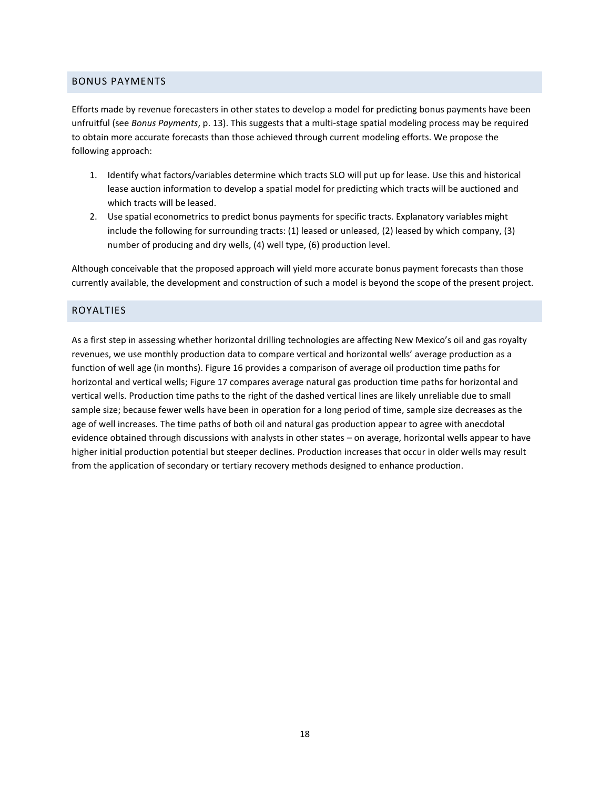# <span id="page-22-0"></span>BONUS PAYMENTS

Efforts made by revenue forecasters in other states to develop a model for predicting bonus payments have been unfruitful (see *[Bonus Payments](#page-17-1)*, p[. 13\)](#page-17-1). This suggests that a multi-stage spatial modeling process may be required to obtain more accurate forecasts than those achieved through current modeling efforts. We propose the following approach:

- 1. Identify what factors/variables determine which tracts SLO will put up for lease. Use this and historical lease auction information to develop a spatial model for predicting which tracts will be auctioned and which tracts will be leased.
- 2. Use spatial econometrics to predict bonus payments for specific tracts. Explanatory variables might include the following for surrounding tracts: (1) leased or unleased, (2) leased by which company, (3) number of producing and dry wells, (4) well type, (6) production level.

Although conceivable that the proposed approach will yield more accurate bonus payment forecasts than those currently available, the development and construction of such a model is beyond the scope of the present project.

# <span id="page-22-1"></span>ROYALTIES

As a first step in assessing whether horizontal drilling technologies are affecting New Mexico's oil and gas royalty revenues, we use monthly production data to compare vertical and horizontal wells' average production as a function of well age (in months). [Figure 16](#page-23-0) provides a comparison of average oil production time paths for horizontal and vertical wells; [Figure 17 c](#page-23-1)ompares average natural gas production time paths for horizontal and vertical wells. Production time paths to the right of the dashed vertical lines are likely unreliable due to small sample size; because fewer wells have been in operation for a long period of time, sample size decreases as the age of well increases. The time paths of both oil and natural gas production appear to agree with anecdotal evidence obtained through discussions with analysts in other states – on average, horizontal wells appear to have higher initial production potential but steeper declines. Production increases that occur in older wells may result from the application of secondary or tertiary recovery methods designed to enhance production.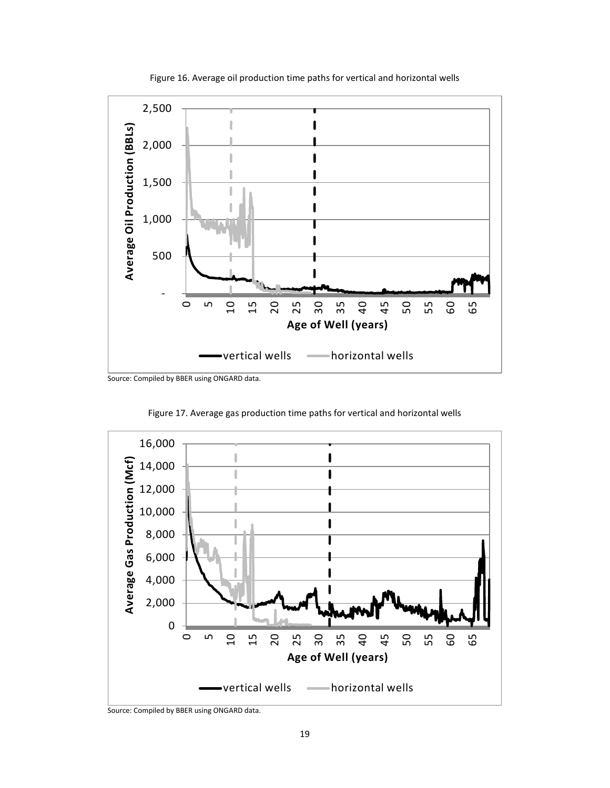<span id="page-23-0"></span>

Figure 16. Average oil production time paths for vertical and horizontal wells

<span id="page-23-1"></span>Source: Compiled by BBER using ONGARD data.

Figure 17. Average gas production time paths for vertical and horizontal wells



Source: Compiled by BBER using ONGARD data.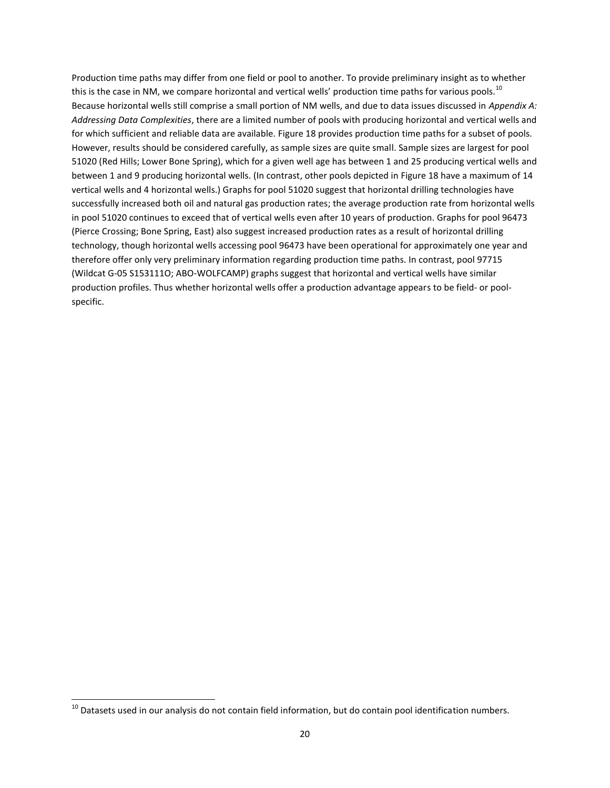Production time paths may differ from one field or pool to another. To provide preliminary insight as to whether this is the case in NM, we compare horizontal and vertical wells' production time paths for various pools.<sup>10</sup> Because horizontal wells still comprise a small portion of NM wells, and due to data issues discussed in *[Appendix A:](#page-29-0)  [Addressing Data Complexities](#page-29-0)*, there are a limited number of pools with producing horizontal and vertical wells and for which sufficient and reliable data are available. [Figure 18](#page-25-0) provides production time paths for a subset of pools. However, results should be considered carefully, as sample sizes are quite small. Sample sizes are largest for pool 51020 (Red Hills; Lower Bone Spring), which for a given well age has between 1 and 25 producing vertical wells and between 1 and 9 producing horizontal wells. (In contrast, other pools depicted i[n Figure 18 h](#page-25-0)ave a maximum of 14 vertical wells and 4 horizontal wells.) Graphs for pool 51020 suggest that horizontal drilling technologies have successfully increased both oil and natural gas production rates; the average production rate from horizontal wells in pool 51020 continues to exceed that of vertical wells even after 10 years of production. Graphs for pool 96473 (Pierce Crossing; Bone Spring, East) also suggest increased production rates as a result of horizontal drilling technology, though horizontal wells accessing pool 96473 have been operational for approximately one year and therefore offer only very preliminary information regarding production time paths. In contrast, pool 97715 (Wildcat G-05 S153111O; ABO-WOLFCAMP) graphs suggest that horizontal and vertical wells have similar production profiles. Thus whether horizontal wells offer a production advantage appears to be field- or poolspecific.

 $\overline{a}$ 

 $^{10}$  Datasets used in our analysis do not contain field information, but do contain pool identification numbers.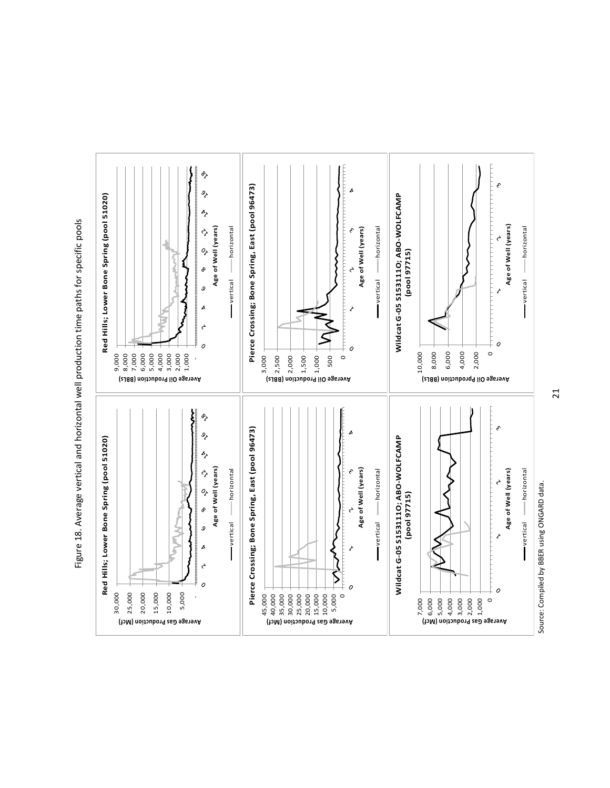

<span id="page-25-0"></span>Figure 18. Average vertical and horizontal well production time paths for specific pools Figure 18. Average vertical and horizontal well production time paths for specific pools

Source: Compiled by BBER using ONGARD data. Source: Compiled by BBER using ONGARD data. 21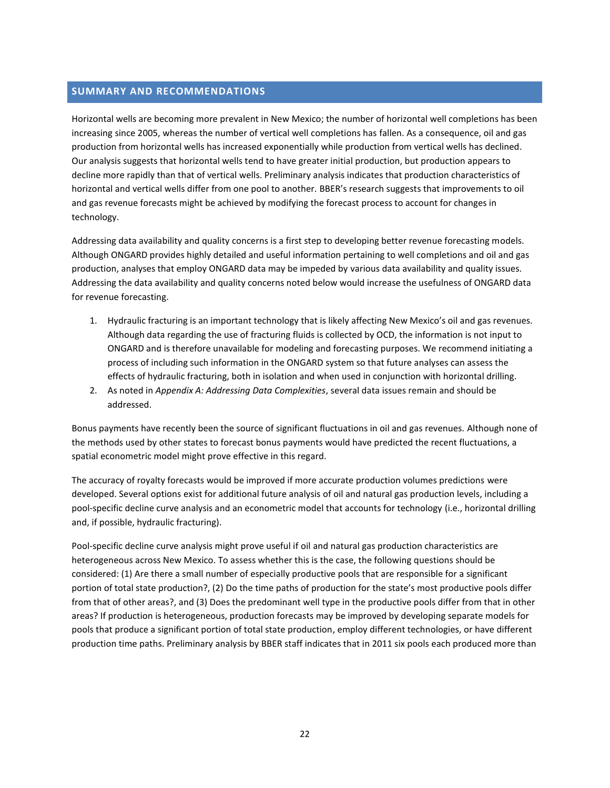# <span id="page-26-0"></span>**SUMMARY AND RECOMMENDATIONS**

Horizontal wells are becoming more prevalent in New Mexico; the number of horizontal well completions has been increasing since 2005, whereas the number of vertical well completions has fallen. As a consequence, oil and gas production from horizontal wells has increased exponentially while production from vertical wells has declined. Our analysis suggests that horizontal wells tend to have greater initial production, but production appears to decline more rapidly than that of vertical wells. Preliminary analysis indicates that production characteristics of horizontal and vertical wells differ from one pool to another. BBER's research suggests that improvements to oil and gas revenue forecasts might be achieved by modifying the forecast process to account for changes in technology.

Addressing data availability and quality concerns is a first step to developing better revenue forecasting models. Although ONGARD provides highly detailed and useful information pertaining to well completions and oil and gas production, analyses that employ ONGARD data may be impeded by various data availability and quality issues. Addressing the data availability and quality concerns noted below would increase the usefulness of ONGARD data for revenue forecasting.

- 1. Hydraulic fracturing is an important technology that is likely affecting New Mexico's oil and gas revenues. Although data regarding the use of fracturing fluids is collected by OCD, the information is not input to ONGARD and is therefore unavailable for modeling and forecasting purposes. We recommend initiating a process of including such information in the ONGARD system so that future analyses can assess the effects of hydraulic fracturing, both in isolation and when used in conjunction with horizontal drilling.
- 2. As noted in *[Appendix A: Addressing Data Complexities](#page-29-0)*, several data issues remain and should be addressed.

Bonus payments have recently been the source of significant fluctuations in oil and gas revenues. Although none of the methods used by other states to forecast bonus payments would have predicted the recent fluctuations, a spatial econometric model might prove effective in this regard.

The accuracy of royalty forecasts would be improved if more accurate production volumes predictions were developed. Several options exist for additional future analysis of oil and natural gas production levels, including a pool-specific decline curve analysis and an econometric model that accounts for technology (i.e., horizontal drilling and, if possible, hydraulic fracturing).

Pool-specific decline curve analysis might prove useful if oil and natural gas production characteristics are heterogeneous across New Mexico. To assess whether this is the case, the following questions should be considered: (1) Are there a small number of especially productive pools that are responsible for a significant portion of total state production?, (2) Do the time paths of production for the state's most productive pools differ from that of other areas?, and (3) Does the predominant well type in the productive pools differ from that in other areas? If production is heterogeneous, production forecasts may be improved by developing separate models for pools that produce a significant portion of total state production, employ different technologies, or have different production time paths. Preliminary analysis by BBER staff indicates that in 2011 six pools each produced more than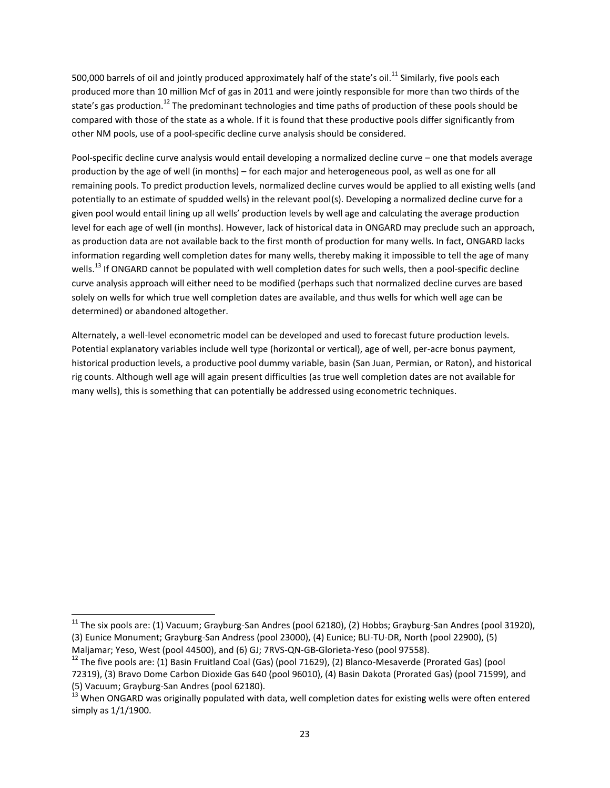500,000 barrels of oil and jointly produced approximately half of the state's oil.<sup>11</sup> Similarly, five pools each produced more than 10 million Mcf of gas in 2011 and were jointly responsible for more than two thirds of the state's gas production.<sup>12</sup> The predominant technologies and time paths of production of these pools should be compared with those of the state as a whole. If it is found that these productive pools differ significantly from other NM pools, use of a pool-specific decline curve analysis should be considered.

Pool-specific decline curve analysis would entail developing a normalized decline curve – one that models average production by the age of well (in months) – for each major and heterogeneous pool, as well as one for all remaining pools. To predict production levels, normalized decline curves would be applied to all existing wells (and potentially to an estimate of spudded wells) in the relevant pool(s). Developing a normalized decline curve for a given pool would entail lining up all wells' production levels by well age and calculating the average production level for each age of well (in months). However, lack of historical data in ONGARD may preclude such an approach, as production data are not available back to the first month of production for many wells. In fact, ONGARD lacks information regarding well completion dates for many wells, thereby making it impossible to tell the age of many wells.<sup>13</sup> If ONGARD cannot be populated with well completion dates for such wells, then a pool-specific decline curve analysis approach will either need to be modified (perhaps such that normalized decline curves are based solely on wells for which true well completion dates are available, and thus wells for which well age can be determined) or abandoned altogether.

Alternately, a well-level econometric model can be developed and used to forecast future production levels. Potential explanatory variables include well type (horizontal or vertical), age of well, per-acre bonus payment, historical production levels, a productive pool dummy variable, basin (San Juan, Permian, or Raton), and historical rig counts. Although well age will again present difficulties (as true well completion dates are not available for many wells), this is something that can potentially be addressed using econometric techniques.

 $\overline{a}$ 

 $^{11}$  The six pools are: (1) Vacuum; Grayburg-San Andres (pool 62180), (2) Hobbs; Grayburg-San Andres (pool 31920), (3) Eunice Monument; Grayburg-San Andress (pool 23000), (4) Eunice; BLI-TU-DR, North (pool 22900), (5) Maljamar; Yeso, West (pool 44500), and (6) GJ; 7RVS-QN-GB-Glorieta-Yeso (pool 97558).

 $12$  The five pools are: (1) Basin Fruitland Coal (Gas) (pool 71629), (2) Blanco-Mesaverde (Prorated Gas) (pool 72319), (3) Bravo Dome Carbon Dioxide Gas 640 (pool 96010), (4) Basin Dakota (Prorated Gas) (pool 71599), and (5) Vacuum; Grayburg-San Andres (pool 62180).

<sup>&</sup>lt;sup>13</sup> When ONGARD was originally populated with data, well completion dates for existing wells were often entered simply as 1/1/1900.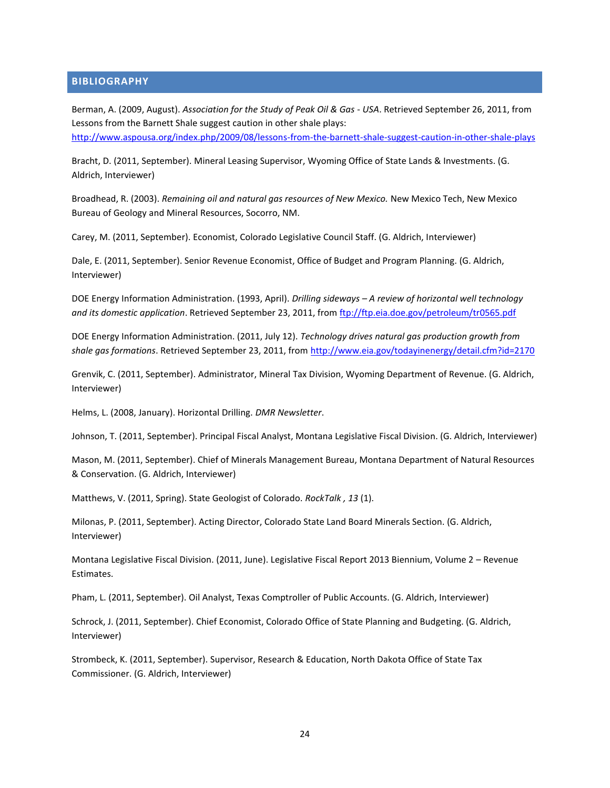# <span id="page-28-0"></span>**BIBLIOGRAPHY**

Berman, A. (2009, August). *Association for the Study of Peak Oil & Gas - USA*. Retrieved September 26, 2011, from Lessons from the Barnett Shale suggest caution in other shale plays:

<http://www.aspousa.org/index.php/2009/08/lessons-from-the-barnett-shale-suggest-caution-in-other-shale-plays>

Bracht, D. (2011, September). Mineral Leasing Supervisor, Wyoming Office of State Lands & Investments. (G. Aldrich, Interviewer)

Broadhead, R. (2003). *Remaining oil and natural gas resources of New Mexico.* New Mexico Tech, New Mexico Bureau of Geology and Mineral Resources, Socorro, NM.

Carey, M. (2011, September). Economist, Colorado Legislative Council Staff. (G. Aldrich, Interviewer)

Dale, E. (2011, September). Senior Revenue Economist, Office of Budget and Program Planning. (G. Aldrich, Interviewer)

DOE Energy Information Administration. (1993, April). *Drilling sideways – A review of horizontal well technology and its domestic application*. Retrieved September 23, 2011, from<ftp://ftp.eia.doe.gov/petroleum/tr0565.pdf>

DOE Energy Information Administration. (2011, July 12). *Technology drives natural gas production growth from shale gas formations*. Retrieved September 23, 2011, from<http://www.eia.gov/todayinenergy/detail.cfm?id=2170>

Grenvik, C. (2011, September). Administrator, Mineral Tax Division, Wyoming Department of Revenue. (G. Aldrich, Interviewer)

Helms, L. (2008, January). Horizontal Drilling. *DMR Newsletter*.

Johnson, T. (2011, September). Principal Fiscal Analyst, Montana Legislative Fiscal Division. (G. Aldrich, Interviewer)

Mason, M. (2011, September). Chief of Minerals Management Bureau, Montana Department of Natural Resources & Conservation. (G. Aldrich, Interviewer)

Matthews, V. (2011, Spring). State Geologist of Colorado. *RockTalk , 13* (1).

Milonas, P. (2011, September). Acting Director, Colorado State Land Board Minerals Section. (G. Aldrich, Interviewer)

Montana Legislative Fiscal Division. (2011, June). Legislative Fiscal Report 2013 Biennium, Volume 2 – Revenue Estimates.

Pham, L. (2011, September). Oil Analyst, Texas Comptroller of Public Accounts. (G. Aldrich, Interviewer)

Schrock, J. (2011, September). Chief Economist, Colorado Office of State Planning and Budgeting. (G. Aldrich, Interviewer)

Strombeck, K. (2011, September). Supervisor, Research & Education, North Dakota Office of State Tax Commissioner. (G. Aldrich, Interviewer)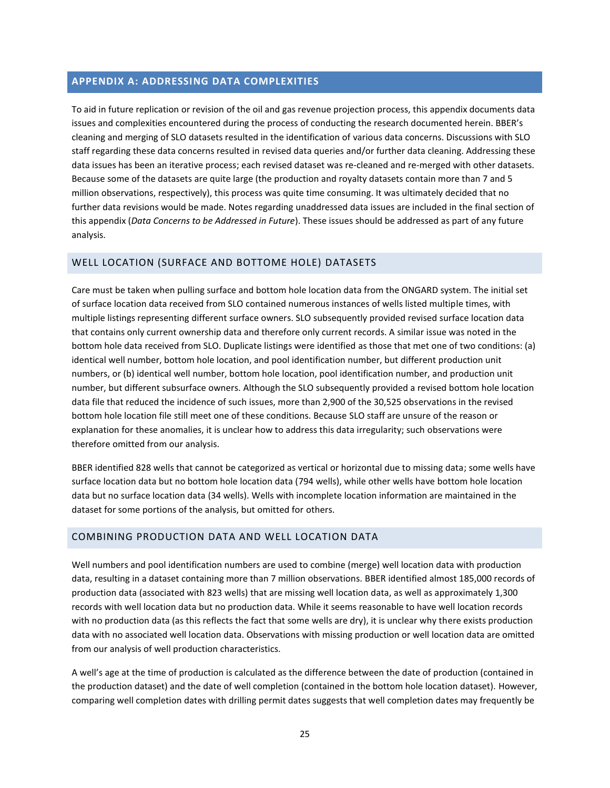#### <span id="page-29-0"></span>**APPENDIX A: ADDRESSING DATA COMPLEXITIES**

To aid in future replication or revision of the oil and gas revenue projection process, this appendix documents data issues and complexities encountered during the process of conducting the research documented herein. BBER's cleaning and merging of SLO datasets resulted in the identification of various data concerns. Discussions with SLO staff regarding these data concerns resulted in revised data queries and/or further data cleaning. Addressing these data issues has been an iterative process; each revised dataset was re-cleaned and re-merged with other datasets. Because some of the datasets are quite large (the production and royalty datasets contain more than 7 and 5 million observations, respectively), this process was quite time consuming. It was ultimately decided that no further data revisions would be made. Notes regarding unaddressed data issues are included in the final section of this appendix (*[Data Concerns to be Addressed in Future](#page-33-0)*). These issues should be addressed as part of any future analysis.

#### <span id="page-29-1"></span>WELL LOCATION (SURFACE AND BOTTOME HOLE) DATASETS

Care must be taken when pulling surface and bottom hole location data from the ONGARD system. The initial set of surface location data received from SLO contained numerous instances of wells listed multiple times, with multiple listings representing different surface owners. SLO subsequently provided revised surface location data that contains only current ownership data and therefore only current records. A similar issue was noted in the bottom hole data received from SLO. Duplicate listings were identified as those that met one of two conditions: (a) identical well number, bottom hole location, and pool identification number, but different production unit numbers, or (b) identical well number, bottom hole location, pool identification number, and production unit number, but different subsurface owners. Although the SLO subsequently provided a revised bottom hole location data file that reduced the incidence of such issues, more than 2,900 of the 30,525 observations in the revised bottom hole location file still meet one of these conditions. Because SLO staff are unsure of the reason or explanation for these anomalies, it is unclear how to address this data irregularity; such observations were therefore omitted from our analysis.

BBER identified 828 wells that cannot be categorized as vertical or horizontal due to missing data; some wells have surface location data but no bottom hole location data (794 wells), while other wells have bottom hole location data but no surface location data (34 wells). Wells with incomplete location information are maintained in the dataset for some portions of the analysis, but omitted for others.

# <span id="page-29-2"></span>COMBINING PRODUCTION DATA AND WELL LOCATION DATA

Well numbers and pool identification numbers are used to combine (merge) well location data with production data, resulting in a dataset containing more than 7 million observations. BBER identified almost 185,000 records of production data (associated with 823 wells) that are missing well location data, as well as approximately 1,300 records with well location data but no production data. While it seems reasonable to have well location records with no production data (as this reflects the fact that some wells are dry), it is unclear why there exists production data with no associated well location data. Observations with missing production or well location data are omitted from our analysis of well production characteristics.

A well's age at the time of production is calculated as the difference between the date of production (contained in the production dataset) and the date of well completion (contained in the bottom hole location dataset). However, comparing well completion dates with drilling permit dates suggests that well completion dates may frequently be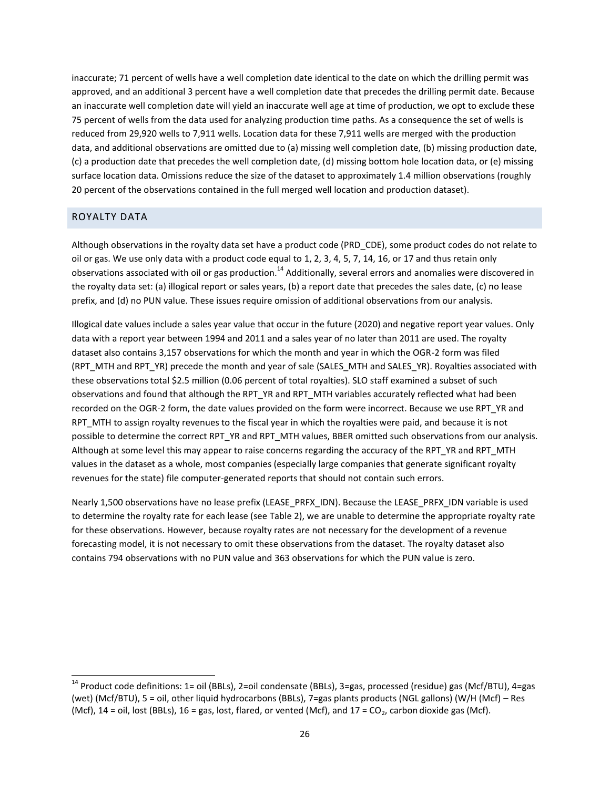inaccurate; 71 percent of wells have a well completion date identical to the date on which the drilling permit was approved, and an additional 3 percent have a well completion date that precedes the drilling permit date. Because an inaccurate well completion date will yield an inaccurate well age at time of production, we opt to exclude these 75 percent of wells from the data used for analyzing production time paths. As a consequence the set of wells is reduced from 29,920 wells to 7,911 wells. Location data for these 7,911 wells are merged with the production data, and additional observations are omitted due to (a) missing well completion date, (b) missing production date, (c) a production date that precedes the well completion date, (d) missing bottom hole location data, or (e) missing surface location data. Omissions reduce the size of the dataset to approximately 1.4 million observations (roughly 20 percent of the observations contained in the full merged well location and production dataset).

# <span id="page-30-0"></span>ROYALTY DATA

 $\overline{a}$ 

Although observations in the royalty data set have a product code (PRD\_CDE), some product codes do not relate to oil or gas. We use only data with a product code equal to 1, 2, 3, 4, 5, 7, 14, 16, or 17 and thus retain only observations associated with oil or gas production.<sup>14</sup> Additionally, several errors and anomalies were discovered in the royalty data set: (a) illogical report or sales years, (b) a report date that precedes the sales date, (c) no lease prefix, and (d) no PUN value. These issues require omission of additional observations from our analysis.

Illogical date values include a sales year value that occur in the future (2020) and negative report year values. Only data with a report year between 1994 and 2011 and a sales year of no later than 2011 are used. The royalty dataset also contains 3,157 observations for which the month and year in which the OGR-2 form was filed (RPT\_MTH and RPT\_YR) precede the month and year of sale (SALES\_MTH and SALES\_YR). Royalties associated with these observations total \$2.5 million (0.06 percent of total royalties). SLO staff examined a subset of such observations and found that although the RPT\_YR and RPT\_MTH variables accurately reflected what had been recorded on the OGR-2 form, the date values provided on the form were incorrect. Because we use RPT\_YR and RPT MTH to assign royalty revenues to the fiscal year in which the royalties were paid, and because it is not possible to determine the correct RPT\_YR and RPT\_MTH values, BBER omitted such observations from our analysis. Although at some level this may appear to raise concerns regarding the accuracy of the RPT\_YR and RPT\_MTH values in the dataset as a whole, most companies (especially large companies that generate significant royalty revenues for the state) file computer-generated reports that should not contain such errors.

Nearly 1,500 observations have no lease prefix (LEASE\_PRFX\_IDN). Because the LEASE\_PRFX\_IDN variable is used to determine the royalty rate for each lease (see [Table 2\)](#page-31-0), we are unable to determine the appropriate royalty rate for these observations. However, because royalty rates are not necessary for the development of a revenue forecasting model, it is not necessary to omit these observations from the dataset. The royalty dataset also contains 794 observations with no PUN value and 363 observations for which the PUN value is zero.

<sup>&</sup>lt;sup>14</sup> Product code definitions: 1= oil (BBLs), 2=oil condensate (BBLs), 3=gas, processed (residue) gas (Mcf/BTU), 4=gas (wet) (Mcf/BTU), 5 = oil, other liquid hydrocarbons (BBLs), 7=gas plants products (NGL gallons) (W/H (Mcf) – Res (Mcf),  $14 =$  oil, lost (BBLs),  $16 =$  gas, lost, flared, or vented (Mcf), and  $17 = CO<sub>2</sub>$ , carbon dioxide gas (Mcf).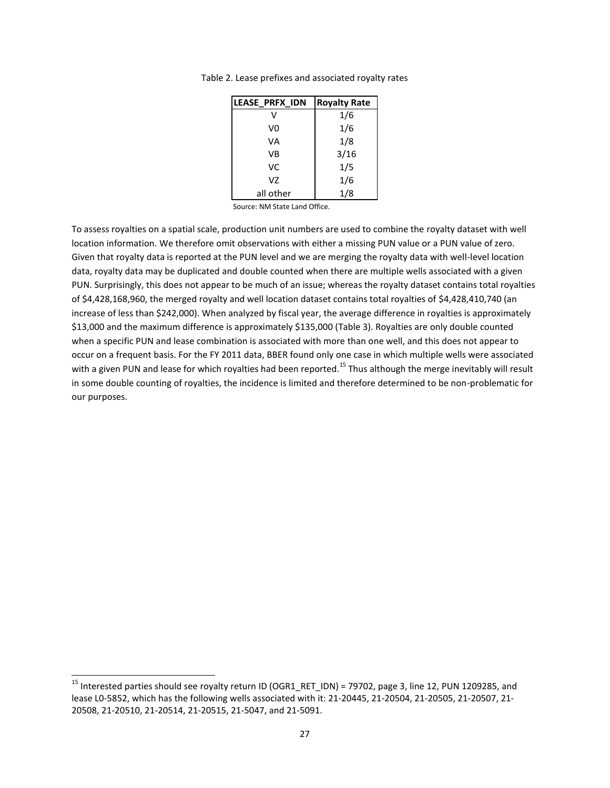| <b>LEASE PRFX IDN</b> | <b>Royalty Rate</b> |
|-----------------------|---------------------|
| v                     | 1/6                 |
| V0                    | 1/6                 |
| VA                    | 1/8                 |
| VB                    | 3/16                |
| VC                    | 1/5                 |
| V7                    | 1/6                 |
| all other             | 1/8                 |

<span id="page-31-0"></span>Table 2. Lease prefixes and associated royalty rates

Source: NM State Land Office.

To assess royalties on a spatial scale, production unit numbers are used to combine the royalty dataset with well location information. We therefore omit observations with either a missing PUN value or a PUN value of zero. Given that royalty data is reported at the PUN level and we are merging the royalty data with well-level location data, royalty data may be duplicated and double counted when there are multiple wells associated with a given PUN. Surprisingly, this does not appear to be much of an issue; whereas the royalty dataset contains total royalties of \$4,428,168,960, the merged royalty and well location dataset contains total royalties of \$4,428,410,740 (an increase of less than \$242,000). When analyzed by fiscal year, the average difference in royalties is approximately \$13,000 and the maximum difference is approximately \$135,000 [\(Table 3\)](#page-32-0). Royalties are only double counted when a specific PUN and lease combination is associated with more than one well, and this does not appear to occur on a frequent basis. For the FY 2011 data, BBER found only one case in which multiple wells were associated with a given PUN and lease for which royalties had been reported.<sup>15</sup> Thus although the merge inevitably will result in some double counting of royalties, the incidence is limited and therefore determined to be non-problematic for our purposes.

 $\overline{a}$ 

<sup>&</sup>lt;sup>15</sup> Interested parties should see royalty return ID (OGR1\_RET\_IDN) = 79702, page 3, line 12, PUN 1209285, and lease L0-5852, which has the following wells associated with it: 21-20445, 21-20504, 21-20505, 21-20507, 21- 20508, 21-20510, 21-20514, 21-20515, 21-5047, and 21-5091.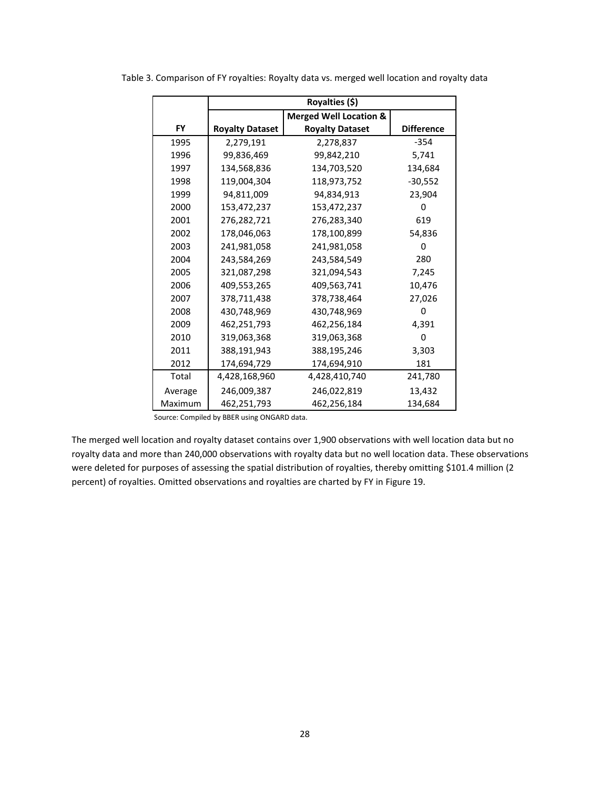|           | Royalties (\$)                             |                                   |                   |
|-----------|--------------------------------------------|-----------------------------------|-------------------|
|           |                                            | <b>Merged Well Location &amp;</b> |                   |
| <b>FY</b> | <b>Royalty Dataset</b>                     | <b>Royalty Dataset</b>            | <b>Difference</b> |
| 1995      | 2,279,191                                  | 2,278,837                         | $-354$            |
| 1996      | 99,836,469                                 | 99,842,210                        | 5,741             |
| 1997      | 134,568,836                                | 134,703,520                       | 134,684           |
| 1998      | 119,004,304                                | 118,973,752                       | $-30,552$         |
| 1999      | 94,811,009                                 | 94,834,913                        | 23,904            |
| 2000      | 153,472,237                                | 153,472,237                       | 0                 |
| 2001      | 276,282,721                                | 276,283,340                       | 619               |
| 2002      | 178,046,063                                | 178,100,899                       | 54,836            |
| 2003      | 241,981,058                                | 241,981,058                       | 0                 |
| 2004      | 243,584,269                                | 243,584,549                       | 280               |
| 2005      | 321,087,298                                | 321,094,543                       | 7,245             |
| 2006      | 409,553,265                                | 409,563,741                       | 10,476            |
| 2007      | 378,711,438                                | 378,738,464                       | 27,026            |
| 2008      | 430,748,969                                | 430,748,969                       | 0                 |
| 2009      | 462,251,793                                | 462,256,184                       | 4,391             |
| 2010      | 319,063,368                                | 319,063,368                       | 0                 |
| 2011      | 388,191,943                                | 388,195,246                       | 3,303             |
| 2012      | 174,694,729                                | 174,694,910                       | 181               |
| Total     | 4,428,168,960                              | 4,428,410,740                     | 241,780           |
| Average   | 246,009,387                                | 246,022,819                       | 13,432            |
| Maximum   | 462,251,793                                | 462,256,184                       | 134,684           |
|           | Source: Compiled by RRER using ONGARD data |                                   |                   |

<span id="page-32-0"></span>Table 3. Comparison of FY royalties: Royalty data vs. merged well location and royalty data

Source: Compiled by BBER using ONGARD data.

The merged well location and royalty dataset contains over 1,900 observations with well location data but no royalty data and more than 240,000 observations with royalty data but no well location data. These observations were deleted for purposes of assessing the spatial distribution of royalties, thereby omitting \$101.4 million (2 percent) of royalties. Omitted observations and royalties are charted by FY in [Figure 19.](#page-33-1)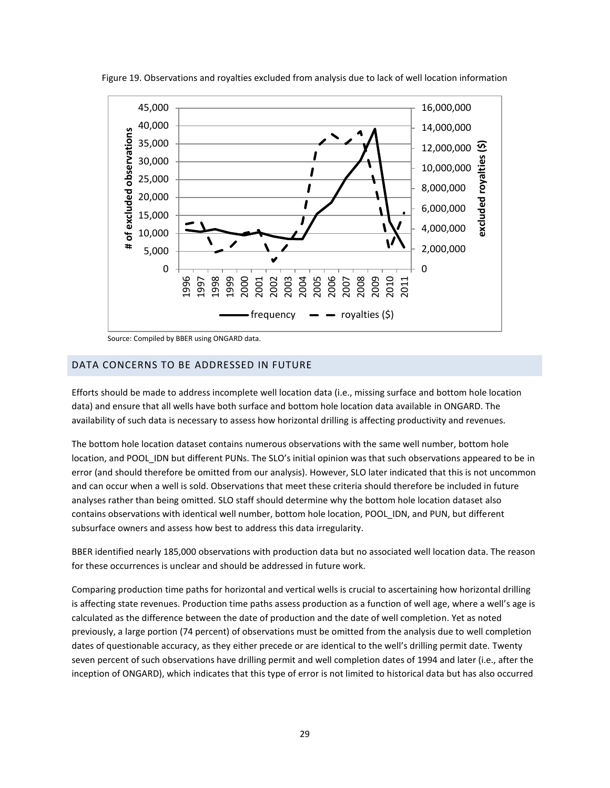

<span id="page-33-1"></span>Figure 19. Observations and royalties excluded from analysis due to lack of well location information

Source: Compiled by BBER using ONGARD data.

#### <span id="page-33-0"></span>DATA CONCERNS TO BE ADDRESSED IN FUTURE

Efforts should be made to address incomplete well location data (i.e., missing surface and bottom hole location data) and ensure that all wells have both surface and bottom hole location data available in ONGARD. The availability of such data is necessary to assess how horizontal drilling is affecting productivity and revenues.

The bottom hole location dataset contains numerous observations with the same well number, bottom hole location, and POOL IDN but different PUNs. The SLO's initial opinion was that such observations appeared to be in error (and should therefore be omitted from our analysis). However, SLO later indicated that this is not uncommon and can occur when a well is sold. Observations that meet these criteria should therefore be included in future analyses rather than being omitted. SLO staff should determine why the bottom hole location dataset also contains observations with identical well number, bottom hole location, POOL\_IDN, and PUN, but different subsurface owners and assess how best to address this data irregularity.

BBER identified nearly 185,000 observations with production data but no associated well location data. The reason for these occurrences is unclear and should be addressed in future work.

Comparing production time paths for horizontal and vertical wells is crucial to ascertaining how horizontal drilling is affecting state revenues. Production time paths assess production as a function of well age, where a well's age is calculated as the difference between the date of production and the date of well completion. Yet as noted previously, a large portion (74 percent) of observations must be omitted from the analysis due to well completion dates of questionable accuracy, as they either precede or are identical to the well's drilling permit date. Twenty seven percent of such observations have drilling permit and well completion dates of 1994 and later (i.e., after the inception of ONGARD), which indicates that this type of error is not limited to historical data but has also occurred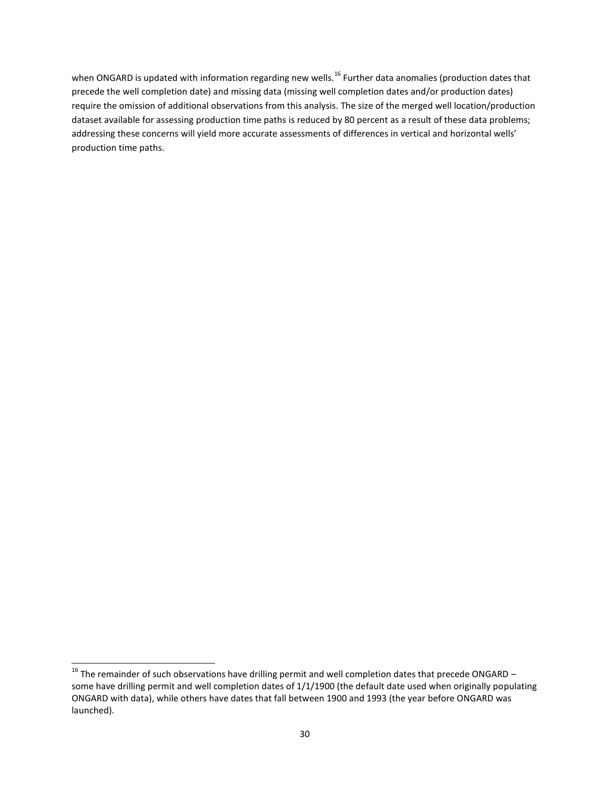when ONGARD is updated with information regarding new wells.<sup>16</sup> Further data anomalies (production dates that precede the well completion date) and missing data (missing well completion dates and/or production dates) require the omission of additional observations from this analysis. The size of the merged well location/production dataset available for assessing production time paths is reduced by 80 percent as a result of these data problems; addressing these concerns will yield more accurate assessments of differences in vertical and horizontal wells' production time paths.

 $\overline{a}$ 

<sup>&</sup>lt;sup>16</sup> The remainder of such observations have drilling permit and well completion dates that precede ONGARD – some have drilling permit and well completion dates of 1/1/1900 (the default date used when originally populating ONGARD with data), while others have dates that fall between 1900 and 1993 (the year before ONGARD was launched).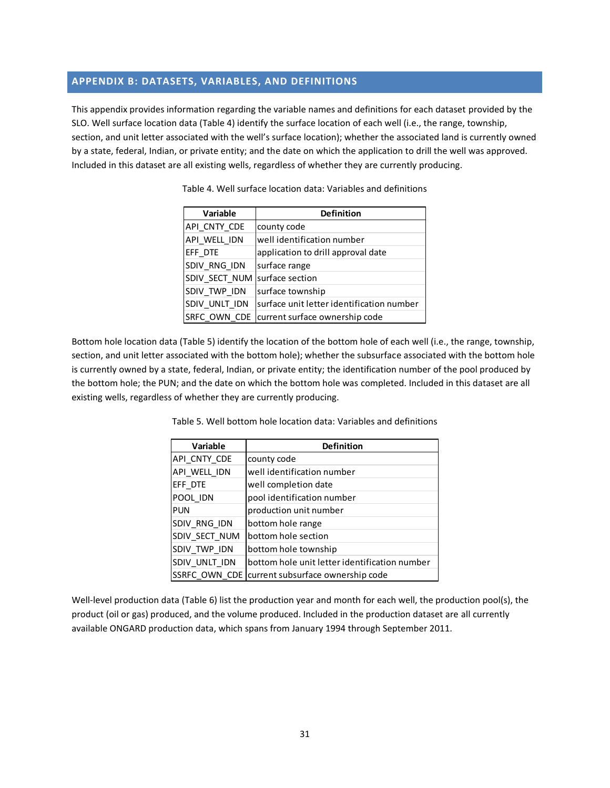# <span id="page-35-0"></span>**APPENDIX B: DATASETS, VARIABLES, AND DEFINITIONS**

<span id="page-35-1"></span>This appendix provides information regarding the variable names and definitions for each dataset provided by the SLO. Well surface location data [\(Table 4\)](#page-35-1) identify the surface location of each well (i.e., the range, township, section, and unit letter associated with the well's surface location); whether the associated land is currently owned by a state, federal, Indian, or private entity; and the date on which the application to drill the well was approved. Included in this dataset are all existing wells, regardless of whether they are currently producing.

| <b>Variable</b> | <b>Definition</b>                         |
|-----------------|-------------------------------------------|
| API CNTY CDE    | county code                               |
| API WELL IDN    | well identification number                |
| EFF DTE         | application to drill approval date        |
| SDIV RNG IDN    | surface range                             |
| SDIV SECT NUM   | surface section                           |
| SDIV_TWP_IDN    | surface township                          |
| SDIV UNLT IDN   | surface unit letter identification number |
| SRFC OWN CDE    | current surface ownership code            |

Table 4. Well surface location data: Variables and definitions

<span id="page-35-2"></span>Bottom hole location data [\(Table 5\)](#page-35-2) identify the location of the bottom hole of each well (i.e., the range, township, section, and unit letter associated with the bottom hole); whether the subsurface associated with the bottom hole is currently owned by a state, federal, Indian, or private entity; the identification number of the pool produced by the bottom hole; the PUN; and the date on which the bottom hole was completed. Included in this dataset are all existing wells, regardless of whether they are currently producing.

| Variable      | <b>Definition</b>                             |
|---------------|-----------------------------------------------|
| API_CNTY_CDE  | county code                                   |
| API WELL IDN  | well identification number                    |
| EFF DTE       | well completion date                          |
| POOL IDN      | pool identification number                    |
| <b>PUN</b>    | production unit number                        |
| SDIV RNG IDN  | bottom hole range                             |
| SDIV SECT NUM | bottom hole section                           |
| SDIV TWP IDN  | bottom hole township                          |
| SDIV UNLT IDN | bottom hole unit letter identification number |
| SSRFC OWN CDE | current subsurface ownership code             |

Table 5. Well bottom hole location data: Variables and definitions

Well-level production data [\(Table 6\)](#page-36-0) list the production year and month for each well, the production pool(s), the product (oil or gas) produced, and the volume produced. Included in the production dataset are all currently available ONGARD production data, which spans from January 1994 through September 2011.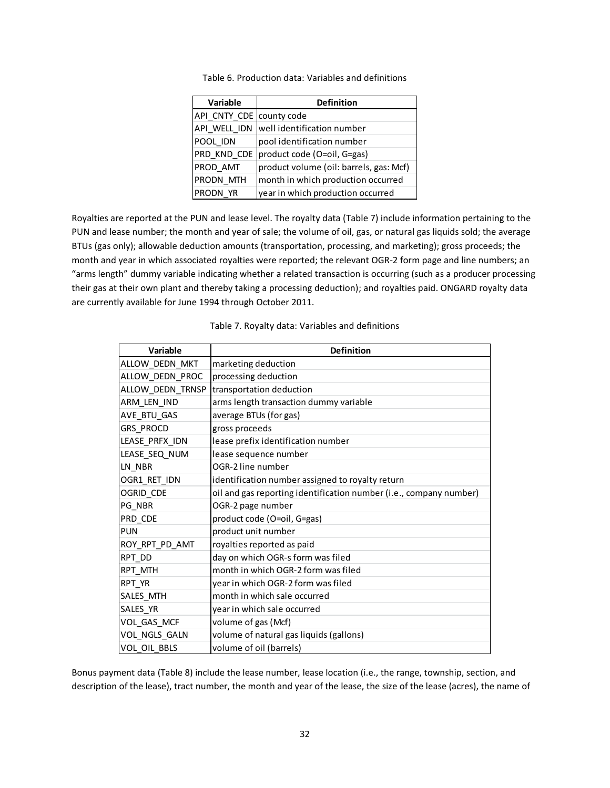<span id="page-36-0"></span>

| <b>Variable</b> | <b>Definition</b>                       |  |
|-----------------|-----------------------------------------|--|
| API_CNTY_CDE    | county code                             |  |
| API WELL IDN    | well identification number              |  |
| POOL IDN        | pool identification number              |  |
| PRD KND CDE     | product code (O=oil, G=gas)             |  |
| PROD AMT        | product volume (oil: barrels, gas: Mcf) |  |
| PRODN MTH       | month in which production occurred      |  |
| PRODN YR        | year in which production occurred       |  |

Table 6. Production data: Variables and definitions

Royalties are reported at the PUN and lease level. The royalty data [\(Table 7\)](#page-36-1) include information pertaining to the PUN and lease number; the month and year of sale; the volume of oil, gas, or natural gas liquids sold; the average BTUs (gas only); allowable deduction amounts (transportation, processing, and marketing); gross proceeds; the month and year in which associated royalties were reported; the relevant OGR-2 form page and line numbers; an "arms length" dummy variable indicating whether a related transaction is occurring (such as a producer processing their gas at their own plant and thereby taking a processing deduction); and royalties paid. ONGARD royalty data are currently available for June 1994 through October 2011.

<span id="page-36-1"></span>

| Variable         | <b>Definition</b>                                                  |
|------------------|--------------------------------------------------------------------|
| ALLOW_DEDN_MKT   | marketing deduction                                                |
| ALLOW DEDN PROC  | processing deduction                                               |
| ALLOW DEDN TRNSP | transportation deduction                                           |
| ARM LEN IND      | arms length transaction dummy variable                             |
| AVE BTU GAS      | average BTUs (for gas)                                             |
| GRS PROCD        | gross proceeds                                                     |
| LEASE PRFX IDN   | lease prefix identification number                                 |
| LEASE SEQ NUM    | lease sequence number                                              |
| LN NBR           | OGR-2 line number                                                  |
| OGR1 RET IDN     | identification number assigned to royalty return                   |
| OGRID CDE        | oil and gas reporting identification number (i.e., company number) |
| PG_NBR           | OGR-2 page number                                                  |
| PRD CDE          | product code (O=oil, G=gas)                                        |
| <b>PUN</b>       | product unit number                                                |
| ROY RPT PD AMT   | royalties reported as paid                                         |
| RPT DD           | day on which OGR-s form was filed                                  |
| RPT MTH          | month in which OGR-2 form was filed                                |
| RPT YR           | year in which OGR-2 form was filed                                 |
| SALES MTH        | month in which sale occurred                                       |
| SALES_YR         | year in which sale occurred                                        |
| VOL GAS MCF      | volume of gas (Mcf)                                                |
| VOL_NGLS_GALN    | volume of natural gas liquids (gallons)                            |
| VOL OIL BBLS     | volume of oil (barrels)                                            |

Table 7. Royalty data: Variables and definitions

Bonus payment data [\(Table 8\)](#page-37-0) include the lease number, lease location (i.e., the range, township, section, and description of the lease), tract number, the month and year of the lease, the size of the lease (acres), the name of